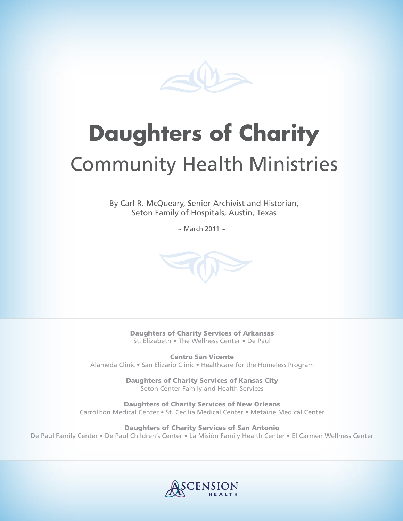

# **Daughters of Charity**

## Community Health Ministries

By Carl R. McQueary, Senior Archivist and Historian,<br>
Seton Family of Hospitals, Austin, Texas<br>
~ March 2011 ~ Seton Family of Hospitals, Austin, Texas

 $\sim$  March 2011  $\sim$ 



Daughters of Charity Services of Arkansas St. Elizabeth • The Wellness Center • De Paul

Centro San Vicente Alameda Clinic • San Elizario Clinic • Healthcare for the Homeless Program

> Daughters of Charity Services of Kansas City Seton Center Family and Health Services

Daughters of Charity Services of New Orleans Carrollton Medical Center • St. Cecilia Medical Center • Metairie Medical Center

Daughters of Charity Services of San Antonio De Paul Family Center • De Paul Children's Center • La Misión Family Health Center • El Carmen Wellness Center

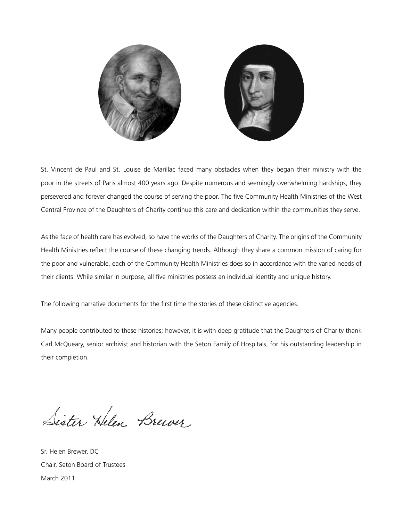

St. Vincent de Paul and St. Louise de Marillac faced many obstacles when they began their ministry with the poor in the streets of Paris almost 400 years ago. Despite numerous and seemingly overwhelming hardships, they persevered and forever changed the course of serving the poor. The five Community Health Ministries of the West Central Province of the Daughters of Charity continue this care and dedication within the communities they serve.

As the face of health care has evolved, so have the works of the Daughters of Charity. The origins of the Community Health Ministries reflect the course of these changing trends. Although they share a common mission of caring for the poor and vulnerable, each of the Community Health Ministries does so in accordance with the varied needs of their clients. While similar in purpose, all five ministries possess an individual identity and unique history.

The following narrative documents for the first time the stories of these distinctive agencies.

Many people contributed to these histories; however, it is with deep gratitude that the Daughters of Charity thank Carl McQueary, senior archivist and historian with the Seton Family of Hospitals, for his outstanding leadership in their completion.

Sister Helen Brewer

Sr. Helen Brewer, DC Chair, Seton Board of Trustees March 2011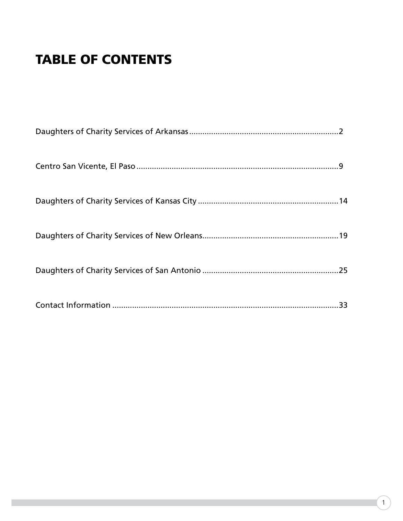### TABLE OF CONTENTS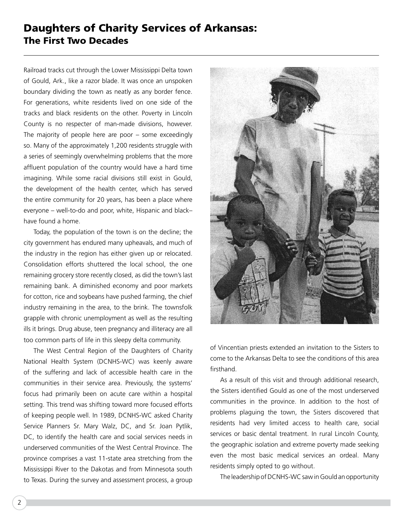#### Daughters of Charity Services of Arkansas: The First Two Decades

Railroad tracks cut through the Lower Mississippi Delta town of Gould, Ark., like a razor blade. It was once an unspoken boundary dividing the town as neatly as any border fence. For generations, white residents lived on one side of the tracks and black residents on the other. Poverty in Lincoln County is no respecter of man-made divisions, however. The majority of people here are poor – some exceedingly so. Many of the approximately 1,200 residents struggle with a series of seemingly overwhelming problems that the more affluent population of the country would have a hard time imagining. While some racial divisions still exist in Gould, the development of the health center, which has served the entire community for 20 years, has been a place where everyone – well-to-do and poor, white, Hispanic and black– have found a home.

Today, the population of the town is on the decline; the city government has endured many upheavals, and much of the industry in the region has either given up or relocated. Consolidation efforts shuttered the local school, the one remaining grocery store recently closed, as did the town's last remaining bank. A diminished economy and poor markets for cotton, rice and soybeans have pushed farming, the chief industry remaining in the area, to the brink. The townsfolk grapple with chronic unemployment as well as the resulting ills it brings. Drug abuse, teen pregnancy and illiteracy are all too common parts of life in this sleepy delta community.

The West Central Region of the Daughters of Charity National Health System (DCNHS-WC) was keenly aware of the suffering and lack of accessible health care in the communities in their service area. Previously, the systems' focus had primarily been on acute care within a hospital setting. This trend was shifting toward more focused efforts of keeping people well. In 1989, DCNHS-WC asked Charity Service Planners Sr. Mary Walz, DC, and Sr. Joan Pytlik, DC, to identify the health care and social services needs in underserved communities of the West Central Province. The province comprises a vast 11-state area stretching from the Mississippi River to the Dakotas and from Minnesota south to Texas. During the survey and assessment process, a group



of Vincentian priests extended an invitation to the Sisters to come to the Arkansas Delta to see the conditions of this area firsthand.

As a result of this visit and through additional research, the Sisters identified Gould as one of the most underserved communities in the province. In addition to the host of problems plaguing the town, the Sisters discovered that residents had very limited access to health care, social services or basic dental treatment. In rural Lincoln County, the geographic isolation and extreme poverty made seeking even the most basic medical services an ordeal. Many residents simply opted to go without.

The leadership of DCNHS-WC saw in Gould an opportunity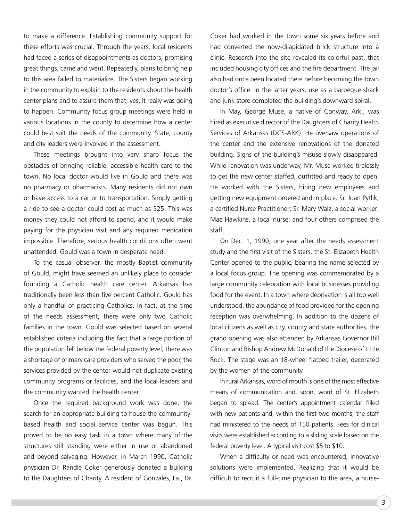to make a difference. Establishing community support for these efforts was crucial. Through the years, local residents had faced a series of disappointments as doctors, promising great things, came and went. Repeatedly, plans to bring help to this area failed to materialize. The Sisters began working in the community to explain to the residents about the health center plans and to assure them that, yes, it really was going to happen. Community focus group meetings were held in various locations in the county to determine how a center could best suit the needs of the community. State, county and city leaders were involved in the assessment.

These meetings brought into very sharp focus the obstacles of bringing reliable, accessible health care to the town. No local doctor would live in Gould and there was no pharmacy or pharmacists. Many residents did not own or have access to a car or to transportation. Simply getting a ride to see a doctor could cost as much as \$25. This was money they could not afford to spend, and it would make paying for the physician visit and any required medication impossible. Therefore, serious health conditions often went unattended. Gould was a town in desperate need.

To the casual observer, the mostly Baptist community of Gould, might have seemed an unlikely place to consider founding a Catholic health care center. Arkansas has traditionally been less than five percent Catholic. Gould has only a handful of practicing Catholics. In fact, at the time of the needs assessment, there were only two Catholic families in the town. Gould was selected based on several established criteria including the fact that a large portion of the population fell below the federal poverty level, there was a shortage of primary care providers who served the poor, the services provided by the center would not duplicate existing community programs or facilities, and the local leaders and the community wanted the health center.

Once the required background work was done, the search for an appropriate building to house the communitybased health and social service center was begun. This proved to be no easy task in a town where many of the structures still standing were either in use or abandoned and beyond salvaging. However, in March 1990, Catholic physician Dr. Randle Coker generously donated a building to the Daughters of Charity. A resident of Gonzales, La., Dr.

Coker had worked in the town some six years before and had converted the now-dilapidated brick structure into a clinic. Research into the site revealed its colorful past, that included housing city offices and the fire department. The jail also had once been located there before becoming the town doctor's office. In the latter years, use as a barbeque shack and junk store completed the building's downward spiral.

In May, George Muse, a native of Conway, Ark., was hired as executive director of the Daughters of Charity Health Services of Arkansas (DCS-ARK). He oversaw operations of the center and the extensive renovations of the donated building. Signs of the building's misuse slowly disappeared. While renovation was underway, Mr. Muse worked tirelessly to get the new center staffed, outfitted and ready to open. He worked with the Sisters, hiring new employees and getting new equipment ordered and in place. Sr. Joan Pytlik, a certified Nurse Practitioner; Sr. Mary Walz, a social worker; Mae Hawkins, a local nurse; and four others comprised the staff.

On Dec. 1, 1990, one year after the needs assessment study and the first visit of the Sisters, the St. Elizabeth Health Center opened to the public, bearing the name selected by a local focus group. The opening was commemorated by a large community celebration with local businesses providing food for the event. In a town where deprivation is all too well understood, the abundance of food provided for the opening reception was overwhelming. In addition to the dozens of local citizens as well as city, county and state authorities, the grand opening was also attended by Arkansas Governor Bill Clinton and Bishop Andrew McDonald of the Diocese of Little Rock. The stage was an 18-wheel flatbed trailer, decorated by the women of the community.

In rural Arkansas, word of mouth is one of the most effective means of communication and, soon, word of St. Elizabeth began to spread. The center's appointment calendar filled with new patients and, within the first two months, the staff had ministered to the needs of 150 patients. Fees for clinical visits were established according to a sliding scale based on the federal poverty level. A typical visit cost \$5 to \$10.

When a difficulty or need was encountered, innovative solutions were implemented. Realizing that it would be difficult to recruit a full-time physician to the area, a nurse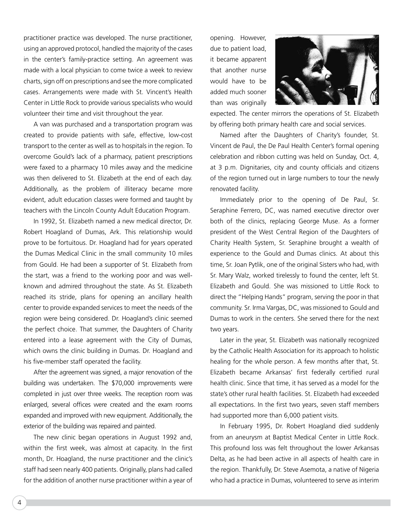practitioner practice was developed. The nurse practitioner, using an approved protocol, handled the majority of the cases in the center's family-practice setting. An agreement was made with a local physician to come twice a week to review charts, sign off on prescriptions and see the more complicated cases. Arrangements were made with St. Vincent's Health Center in Little Rock to provide various specialists who would volunteer their time and visit throughout the year.

A van was purchased and a transportation program was created to provide patients with safe, effective, low-cost transport to the center as well as to hospitals in the region. To overcome Gould's lack of a pharmacy, patient prescriptions were faxed to a pharmacy 10 miles away and the medicine was then delivered to St. Elizabeth at the end of each day. Additionally, as the problem of illiteracy became more evident, adult education classes were formed and taught by teachers with the Lincoln County Adult Education Program.

In 1992, St. Elizabeth named a new medical director, Dr. Robert Hoagland of Dumas, Ark. This relationship would prove to be fortuitous. Dr. Hoagland had for years operated the Dumas Medical Clinic in the small community 10 miles from Gould. He had been a supporter of St. Elizabeth from the start, was a friend to the working poor and was wellknown and admired throughout the state. As St. Elizabeth reached its stride, plans for opening an ancillary health center to provide expanded services to meet the needs of the region were being considered. Dr. Hoagland's clinic seemed the perfect choice. That summer, the Daughters of Charity entered into a lease agreement with the City of Dumas, which owns the clinic building in Dumas. Dr. Hoagland and his five-member staff operated the facility.

After the agreement was signed, a major renovation of the building was undertaken. The \$70,000 improvements were completed in just over three weeks. The reception room was enlarged, several offices were created and the exam rooms expanded and improved with new equipment. Additionally, the exterior of the building was repaired and painted.

The new clinic began operations in August 1992 and, within the first week, was almost at capacity. In the first month, Dr. Hoagland, the nurse practitioner and the clinic's staff had seen nearly 400 patients. Originally, plans had called for the addition of another nurse practitioner within a year of opening. However, due to patient load, it became apparent that another nurse would have to be added much sooner than was originally



expected. The center mirrors the operations of St. Elizabeth by offering both primary health care and social services.

Named after the Daughters of Charity's founder, St. Vincent de Paul, the De Paul Health Center's formal opening celebration and ribbon cutting was held on Sunday, Oct. 4, at 3 p.m. Dignitaries, city and county officials and citizens of the region turned out in large numbers to tour the newly renovated facility.

Immediately prior to the opening of De Paul, Sr. Seraphine Ferrero, DC, was named executive director over both of the clinics, replacing George Muse. As a former president of the West Central Region of the Daughters of Charity Health System, Sr. Seraphine brought a wealth of experience to the Gould and Dumas clinics. At about this time, Sr. Joan Pytlik, one of the original Sisters who had, with Sr. Mary Walz, worked tirelessly to found the center, left St. Elizabeth and Gould. She was missioned to Little Rock to direct the "Helping Hands" program, serving the poor in that community. Sr. Irma Vargas, DC, was missioned to Gould and Dumas to work in the centers. She served there for the next two years.

Later in the year, St. Elizabeth was nationally recognized by the Catholic Health Association for its approach to holistic healing for the whole person. A few months after that, St. Elizabeth became Arkansas' first federally certified rural health clinic. Since that time, it has served as a model for the state's other rural health facilities. St. Elizabeth had exceeded all expectations. In the first two years, seven staff members had supported more than 6,000 patient visits.

In February 1995, Dr. Robert Hoagland died suddenly from an aneurysm at Baptist Medical Center in Little Rock. This profound loss was felt throughout the lower Arkansas Delta, as he had been active in all aspects of health care in the region. Thankfully, Dr. Steve Asemota, a native of Nigeria who had a practice in Dumas, volunteered to serve as interim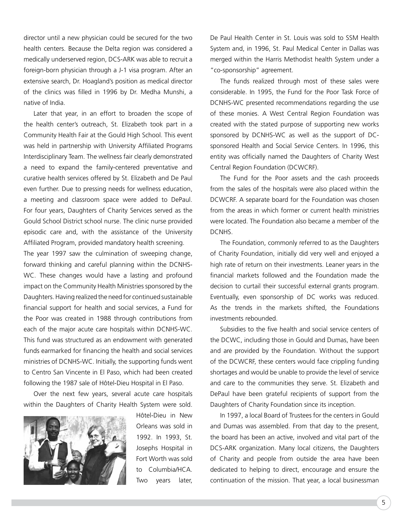director until a new physician could be secured for the two health centers. Because the Delta region was considered a medically underserved region, DCS-ARK was able to recruit a foreign-born physician through a J-1 visa program. After an extensive search, Dr. Hoagland's position as medical director of the clinics was filled in 1996 by Dr. Medha Munshi, a native of India.

Later that year, in an effort to broaden the scope of the health center's outreach, St. Elizabeth took part in a Community Health Fair at the Gould High School. This event was held in partnership with University Affiliated Programs Interdisciplinary Team. The wellness fair clearly demonstrated a need to expand the family-centered preventative and curative health services offered by St. Elizabeth and De Paul even further. Due to pressing needs for wellness education, a meeting and classroom space were added to DePaul. For four years, Daughters of Charity Services served as the Gould School District school nurse. The clinic nurse provided episodic care and, with the assistance of the University Affiliated Program, provided mandatory health screening.

The year 1997 saw the culmination of sweeping change, forward thinking and careful planning within the DCNHS-WC. These changes would have a lasting and profound impact on the Community Health Ministries sponsored by the Daughters. Having realized the need for continued sustainable financial support for health and social services, a Fund for the Poor was created in 1988 through contributions from each of the major acute care hospitals within DCNHS-WC. This fund was structured as an endowment with generated funds earmarked for financing the health and social services ministries of DCNHS-WC. Initially, the supporting funds went to Centro San Vincente in El Paso, which had been created following the 1987 sale of Hôtel-Dieu Hospital in El Paso.

Over the next few years, several acute care hospitals within the Daughters of Charity Health System were sold.



Hôtel-Dieu in New Orleans was sold in 1992. In 1993, St. Josephs Hospital in Fort Worth was sold to Columbia/HCA. Two years later,

De Paul Health Center in St. Louis was sold to SSM Health System and, in 1996, St. Paul Medical Center in Dallas was merged within the Harris Methodist health System under a "co-sponsorship" agreement.

The funds realized through most of these sales were considerable. In 1995, the Fund for the Poor Task Force of DCNHS-WC presented recommendations regarding the use of these monies. A West Central Region Foundation was created with the stated purpose of supporting new works sponsored by DCNHS-WC as well as the support of DCsponsored Health and Social Service Centers. In 1996, this entity was officially named the Daughters of Charity West Central Region Foundation (DCWCRF).

The Fund for the Poor assets and the cash proceeds from the sales of the hospitals were also placed within the DCWCRF. A separate board for the Foundation was chosen from the areas in which former or current health ministries were located. The Foundation also became a member of the DCNHS.

The Foundation, commonly referred to as the Daughters of Charity Foundation, initially did very well and enjoyed a high rate of return on their investments. Leaner years in the financial markets followed and the Foundation made the decision to curtail their successful external grants program. Eventually, even sponsorship of DC works was reduced. As the trends in the markets shifted, the Foundations investments rebounded.

Subsidies to the five health and social service centers of the DCWC, including those in Gould and Dumas, have been and are provided by the Foundation. Without the support of the DCWCRF, these centers would face crippling funding shortages and would be unable to provide the level of service and care to the communities they serve. St. Elizabeth and DePaul have been grateful recipients of support from the Daughters of Charity Foundation since its inception.

In 1997, a local Board of Trustees for the centers in Gould and Dumas was assembled. From that day to the present, the board has been an active, involved and vital part of the DCS-ARK organization. Many local citizens, the Daughters of Charity and people from outside the area have been dedicated to helping to direct, encourage and ensure the continuation of the mission. That year, a local businessman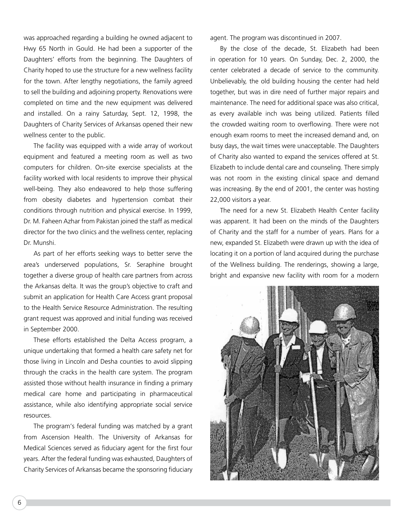was approached regarding a building he owned adjacent to Hwy 65 North in Gould. He had been a supporter of the Daughters' efforts from the beginning. The Daughters of Charity hoped to use the structure for a new wellness facility for the town. After lengthy negotiations, the family agreed to sell the building and adjoining property. Renovations were completed on time and the new equipment was delivered and installed. On a rainy Saturday, Sept. 12, 1998, the Daughters of Charity Services of Arkansas opened their new wellness center to the public.

The facility was equipped with a wide array of workout equipment and featured a meeting room as well as two computers for children. On-site exercise specialists at the facility worked with local residents to improve their physical well-being. They also endeavored to help those suffering from obesity diabetes and hypertension combat their conditions through nutrition and physical exercise. In 1999, Dr. M. Faheen Azhar from Pakistan joined the staff as medical director for the two clinics and the wellness center, replacing Dr. Munshi.

As part of her efforts seeking ways to better serve the area's underserved populations, Sr. Seraphine brought together a diverse group of health care partners from across the Arkansas delta. It was the group's objective to craft and submit an application for Health Care Access grant proposal to the Health Service Resource Administration. The resulting grant request was approved and initial funding was received in September 2000.

These efforts established the Delta Access program, a unique undertaking that formed a health care safety net for those living in Lincoln and Desha counties to avoid slipping through the cracks in the health care system. The program assisted those without health insurance in finding a primary medical care home and participating in pharmaceutical assistance, while also identifying appropriate social service resources.

The program's federal funding was matched by a grant from Ascension Health. The University of Arkansas for Medical Sciences served as fiduciary agent for the first four years. After the federal funding was exhausted, Daughters of Charity Services of Arkansas became the sponsoring fiduciary agent. The program was discontinued in 2007.

By the close of the decade, St. Elizabeth had been in operation for 10 years. On Sunday, Dec. 2, 2000, the center celebrated a decade of service to the community. Unbelievably, the old building housing the center had held together, but was in dire need of further major repairs and maintenance. The need for additional space was also critical, as every available inch was being utilized. Patients filled the crowded waiting room to overflowing. There were not enough exam rooms to meet the increased demand and, on busy days, the wait times were unacceptable. The Daughters of Charity also wanted to expand the services offered at St. Elizabeth to include dental care and counseling. There simply was not room in the existing clinical space and demand was increasing. By the end of 2001, the center was hosting 22,000 visitors a year.

The need for a new St. Elizabeth Health Center facility was apparent. It had been on the minds of the Daughters of Charity and the staff for a number of years. Plans for a new, expanded St. Elizabeth were drawn up with the idea of locating it on a portion of land acquired during the purchase of the Wellness building. The renderings, showing a large, bright and expansive new facility with room for a modern

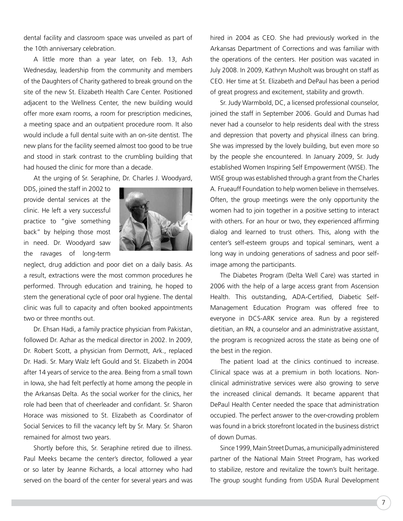dental facility and classroom space was unveiled as part of the 10th anniversary celebration.

A little more than a year later, on Feb. 13, Ash Wednesday, leadership from the community and members of the Daughters of Charity gathered to break ground on the site of the new St. Elizabeth Health Care Center. Positioned adjacent to the Wellness Center, the new building would offer more exam rooms, a room for prescription medicines, a meeting space and an outpatient procedure room. It also would include a full dental suite with an on-site dentist. The new plans for the facility seemed almost too good to be true and stood in stark contrast to the crumbling building that had housed the clinic for more than a decade.

At the urging of Sr. Seraphine, Dr. Charles J. Woodyard,

DDS, joined the staff in 2002 to provide dental services at the clinic. He left a very successful practice to "give something back" by helping those most in need. Dr. Woodyard saw the ravages of long-term



neglect, drug addiction and poor diet on a daily basis. As a result, extractions were the most common procedures he performed. Through education and training, he hoped to stem the generational cycle of poor oral hygiene. The dental clinic was full to capacity and often booked appointments two or three months out.

Dr. Ehsan Hadi, a family practice physician from Pakistan, followed Dr. Azhar as the medical director in 2002. In 2009, Dr. Robert Scott, a physician from Dermott, Ark., replaced Dr. Hadi. Sr. Mary Walz left Gould and St. Elizabeth in 2004 after 14 years of service to the area. Being from a small town in Iowa, she had felt perfectly at home among the people in the Arkansas Delta. As the social worker for the clinics, her role had been that of cheerleader and confidant. Sr. Sharon Horace was missioned to St. Elizabeth as Coordinator of Social Services to fill the vacancy left by Sr. Mary. Sr. Sharon remained for almost two years.

Shortly before this, Sr. Seraphine retired due to illness. Paul Meeks became the center's director, followed a year or so later by Jeanne Richards, a local attorney who had served on the board of the center for several years and was hired in 2004 as CEO. She had previously worked in the Arkansas Department of Corrections and was familiar with the operations of the centers. Her position was vacated in July 2008. In 2009, Kathryn Musholt was brought on staff as CEO. Her time at St. Elizabeth and DePaul has been a period of great progress and excitement, stability and growth.

Sr. Judy Warmbold, DC, a licensed professional counselor, joined the staff in September 2006. Gould and Dumas had never had a counselor to help residents deal with the stress and depression that poverty and physical illness can bring. She was impressed by the lovely building, but even more so by the people she encountered. In January 2009, Sr. Judy established Women Inspiring Self Empowerment (WISE). The WISE group was established through a grant from the Charles A. Frueauff Foundation to help women believe in themselves. Often, the group meetings were the only opportunity the women had to join together in a positive setting to interact with others. For an hour or two, they experienced affirming dialog and learned to trust others. This, along with the center's self-esteem groups and topical seminars, went a long way in undoing generations of sadness and poor selfimage among the participants.

The Diabetes Program (Delta Well Care) was started in 2006 with the help of a large access grant from Ascension Health. This outstanding, ADA-Certified, Diabetic Self-Management Education Program was offered free to everyone in DCS-ARK service area. Run by a registered dietitian, an RN, a counselor and an administrative assistant, the program is recognized across the state as being one of the best in the region.

The patient load at the clinics continued to increase. Clinical space was at a premium in both locations. Nonclinical administrative services were also growing to serve the increased clinical demands. It became apparent that DePaul Health Center needed the space that administration occupied. The perfect answer to the over-crowding problem was found in a brick storefront located in the business district of down Dumas.

Since 1999, Main Street Dumas, a municipally administered partner of the National Main Street Program, has worked to stabilize, restore and revitalize the town's built heritage. The group sought funding from USDA Rural Development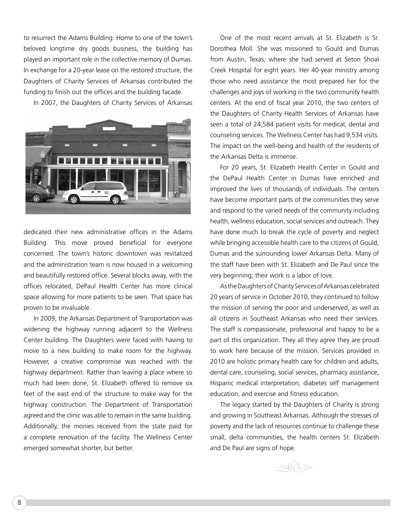to resurrect the Adams Building. Home to one of the town's beloved longtime dry goods business, the building has played an important role in the collective memory of Dumas. In exchange for a 20-year lease on the restored structure, the Daughters of Charity Services of Arkansas contributed the funding to finish out the offices and the building facade.

In 2007, the Daughters of Charity Services of Arkansas



dedicated their new administrative offices in the Adams Building. This move proved beneficial for everyone concerned. The town's historic downtown was revitalized and the administration team is now housed in a welcoming and beautifully restored office. Several blocks away, with the offices relocated, DePaul Health Center has more clinical space allowing for more patients to be seen. That space has proven to be invaluable.

In 2009, the Arkansas Department of Transportation was widening the highway running adjacent to the Wellness Center building. The Daughters were faced with having to move to a new building to make room for the highway. However, a creative compromise was reached with the highway department. Rather than leaving a place where so much had been done, St. Elizabeth offered to remove six feet of the east end of the structure to make way for the highway construction. The Department of Transportation agreed and the clinic was able to remain in the same building. Additionally, the monies received from the state paid for a complete renovation of the facility. The Wellness Center emerged somewhat shorter, but better.

One of the most recent arrivals at St. Elizabeth is Sr. Dorothea Moll. She was missioned to Gould and Dumas from Austin, Texas, where she had served at Seton Shoal Creek Hospital for eight years. Her 40-year ministry among those who need assistance the most prepared her for the challenges and joys of working in the two community health centers. At the end of fiscal year 2010, the two centers of the Daughters of Charity Health Services of Arkansas have seen a total of 24,584 patient visits for medical, dental and counseling services. The Wellness Center has had 9,534 visits. The impact on the well-being and health of the residents of the Arkansas Delta is immense.

For 20 years, St. Elizabeth Health Center in Gould and the DePaul Health Center in Dumas have enriched and improved the lives of thousands of individuals. The centers have become important parts of the communities they serve and respond to the varied needs of the community including health, wellness education, social services and outreach. They have done much to break the cycle of poverty and neglect while bringing accessible health care to the citizens of Gould, Dumas and the surrounding lower Arkansas Delta. Many of the staff have been with St. Elizabeth and De Paul since the very beginning; their work is a labor of love.

As the Daughters of Charity Services of Arkansas celebrated 20 years of service in October 2010, they continued to follow the mission of serving the poor and underserved, as well as all citizens in Southeast Arkansas who need their services. The staff is compassionate, professional and happy to be a part of this organization. They all they agree they are proud to work here because of the mission. Services provided in 2010 are holistic primary health care for children and adults, dental care, counseling, social services, pharmacy assistance, Hispanic medical interpretation, diabetes self management education, and exercise and fitness education.

The legacy started by the Daughters of Charity is strong and growing in Southeast Arkansas. Although the stresses of poverty and the lack of resources continue to challenge these small, delta communities, the health centers St. Elizabeth and De Paul are signs of hope.

 $\triangle$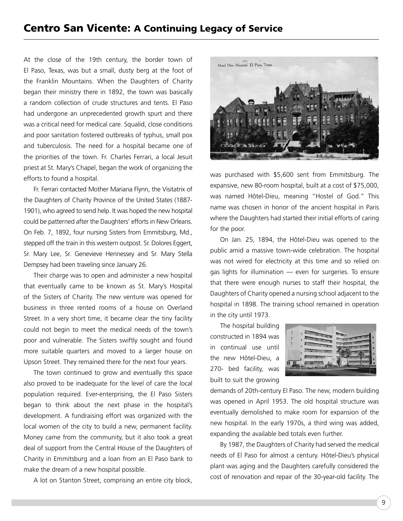#### Centro San Vicente: A Continuing Legacy of Service

At the close of the 19th century, the border town of El Paso, Texas, was but a small, dusty berg at the foot of the Franklin Mountains. When the Daughters of Charity began their ministry there in 1892, the town was basically a random collection of crude structures and tents. El Paso had undergone an unprecedented growth spurt and there was a critical need for medical care. Squalid, close conditions and poor sanitation fostered outbreaks of typhus, small pox and tuberculosis. The need for a hospital became one of the priorities of the town. Fr. Charles Ferrari, a local Jesuit priest at St. Mary's Chapel, began the work of organizing the efforts to found a hospital.

Fr. Ferrari contacted Mother Mariana Flynn, the Visitatrix of the Daughters of Charity Province of the United States (1887- 1901), who agreed to send help. It was hoped the new hospital could be patterned after the Daughters' efforts in New Orleans. On Feb. 7, 1892, four nursing Sisters from Emmitsburg, Md., stepped off the train in this western outpost. Sr. Dolores Eggert, Sr. Mary Lee, Sr. Genevieve Hennessey and Sr. Mary Stella Dempsey had been traveling since January 26.

Their charge was to open and administer a new hospital that eventually came to be known as St. Mary's Hospital of the Sisters of Charity. The new venture was opened for business in three rented rooms of a house on Overland Street. In a very short time, it became clear the tiny facility could not begin to meet the medical needs of the town's poor and vulnerable. The Sisters swiftly sought and found more suitable quarters and moved to a larger house on Upson Street. They remained there for the next four years.

The town continued to grow and eventually this space also proved to be inadequate for the level of care the local population required. Ever-enterprising, the El Paso Sisters began to think about the next phase in the hospital's development. A fundraising effort was organized with the local women of the city to build a new, permanent facility. Money came from the community, but it also took a great deal of support from the Central House of the Daughters of Charity in Emmitsburg and a loan from an El Paso bank to make the dream of a new hospital possible.

A lot on Stanton Street, comprising an entire city block,



was purchased with \$5,600 sent from Emmitsburg. The expansive, new 80-room hospital, built at a cost of \$75,000, was named Hôtel-Dieu, meaning "Hostel of God." This name was chosen in honor of the ancient hospital in Paris where the Daughters had started their initial efforts of caring for the poor.

On Jan. 25, 1894, the Hôtel-Dieu was opened to the public amid a massive town-wide celebration. The hospital was not wired for electricity at this time and so relied on gas lights for illumination — even for surgeries. To ensure that there were enough nurses to staff their hospital, the Daughters of Charity opened a nursing school adjacent to the hospital in 1898. The training school remained in operation in the city until 1973.

The hospital building constructed in 1894 was in continual use until the new Hôtel-Dieu, a 270- bed facility, was built to suit the growing

| <b>ATTACHMENT</b> |
|-------------------|
|                   |

demands of 20th-century El Paso. The new, modern building was opened in April 1953. The old hospital structure was eventually demolished to make room for expansion of the new hospital. In the early 1970s, a third wing was added, expanding the available bed totals even further.

By 1987, the Daughters of Charity had served the medical needs of El Paso for almost a century. Hôtel-Dieu's physical plant was aging and the Daughters carefully considered the cost of renovation and repair of the 30-year-old facility. The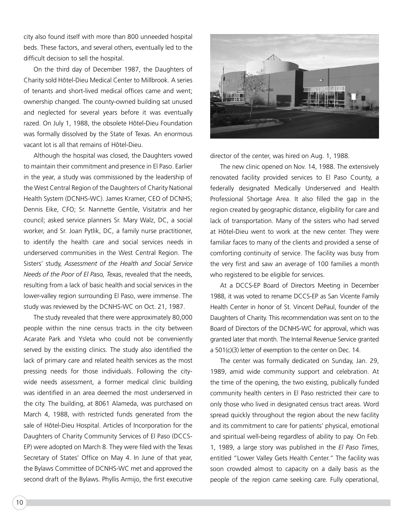city also found itself with more than 800 unneeded hospital beds. These factors, and several others, eventually led to the difficult decision to sell the hospital.

On the third day of December 1987, the Daughters of Charity sold Hôtel-Dieu Medical Center to Millbrook. A series of tenants and short-lived medical offices came and went; ownership changed. The county-owned building sat unused and neglected for several years before it was eventually razed. On July 1, 1988, the obsolete Hôtel-Dieu Foundation was formally dissolved by the State of Texas. An enormous vacant lot is all that remains of Hôtel-Dieu.

Although the hospital was closed, the Daughters vowed to maintain their commitment and presence in El Paso. Earlier in the year, a study was commissioned by the leadership of the West Central Region of the Daughters of Charity National Health System (DCNHS-WC). James Kramer, CEO of DCNHS; Dennis Eike, CFO; Sr. Nannette Gentile, Visitatrix and her council; asked service planners Sr. Mary Walz, DC, a social worker, and Sr. Joan Pytlik, DC, a family nurse practitioner, to identify the health care and social services needs in underserved communities in the West Central Region. The Sisters' study, *Assessment of the Health and Social Service Needs of the Poor of El Paso, Texas*, revealed that the needs, resulting from a lack of basic health and social services in the lower-valley region surrounding El Paso, were immense. The study was reviewed by the DCNHS-WC on Oct. 21, 1987.

The study revealed that there were approximately 80,000 people within the nine census tracts in the city between Acarate Park and Ysleta who could not be conveniently served by the existing clinics. The study also identified the lack of primary care and related health services as the most pressing needs for those individuals. Following the citywide needs assessment, a former medical clinic building was identified in an area deemed the most underserved in the city. The building, at 8061 Alameda, was purchased on March 4, 1988, with restricted funds generated from the sale of Hôtel-Dieu Hospital. Articles of Incorporation for the Daughters of Charity Community Services of El Paso (DCCS-EP) were adopted on March 8. They were filed with the Texas Secretary of States' Office on May 4. In June of that year, the Bylaws Committee of DCNHS-WC met and approved the second draft of the Bylaws. Phyllis Armijo, the first executive



director of the center, was hired on Aug. 1, 1988.

The new clinic opened on Nov. 14, 1988. The extensively renovated facility provided services to El Paso County, a federally designated Medically Underserved and Health Professional Shortage Area. It also filled the gap in the region created by geographic distance, eligibility for care and lack of transportation. Many of the sisters who had served at Hôtel-Dieu went to work at the new center. They were familiar faces to many of the clients and provided a sense of comforting continuity of service. The facility was busy from the very first and saw an average of 100 families a month who registered to be eligible for services.

At a DCCS-EP Board of Directors Meeting in December 1988, it was voted to rename DCCS-EP as San Vicente Family Health Center in honor of St. Vincent DePaul, founder of the Daughters of Charity. This recommendation was sent on to the Board of Directors of the DCNHS-WC for approval, which was granted later that month. The Internal Revenue Service granted a  $501(c)(3)$  letter of exemption to the center on Dec. 14.

The center was formally dedicated on Sunday, Jan. 29, 1989, amid wide community support and celebration. At the time of the opening, the two existing, publically funded community health centers in El Paso restricted their care to only those who lived in designated census tract areas. Word spread quickly throughout the region about the new facility and its commitment to care for patients' physical, emotional and spiritual well-being regardless of ability to pay. On Feb. 1, 1989, a large story was published in the *El Paso Times*, entitled "Lower Valley Gets Health Center." The facility was soon crowded almost to capacity on a daily basis as the people of the region came seeking care. Fully operational,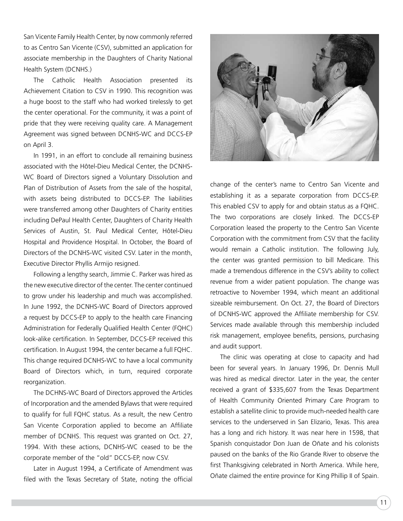San Vicente Family Health Center, by now commonly referred to as Centro San Vicente (CSV), submitted an application for associate membership in the Daughters of Charity National Health System (DCNHS.)

The Catholic Health Association presented its Achievement Citation to CSV in 1990. This recognition was a huge boost to the staff who had worked tirelessly to get the center operational. For the community, it was a point of pride that they were receiving quality care. A Management Agreement was signed between DCNHS-WC and DCCS-EP on April 3.

In 1991, in an effort to conclude all remaining business associated with the Hôtel-Dieu Medical Center, the DCNHS-WC Board of Directors signed a Voluntary Dissolution and Plan of Distribution of Assets from the sale of the hospital, with assets being distributed to DCCS-EP. The liabilities were transferred among other Daughters of Charity entities including DePaul Health Center, Daughters of Charity Health Services of Austin, St. Paul Medical Center, Hôtel-Dieu Hospital and Providence Hospital. In October, the Board of Directors of the DCNHS-WC visited CSV. Later in the month, Executive Director Phyllis Armijo resigned.

Following a lengthy search, Jimmie C. Parker was hired as the new executive director of the center. The center continued to grow under his leadership and much was accomplished. In June 1992, the DCNHS-WC Board of Directors approved a request by DCCS-EP to apply to the health care Financing Administration for Federally Qualified Health Center (FQHC) look-alike certification. In September, DCCS-EP received this certification. In August 1994, the center became a full FQHC. This change required DCNHS-WC to have a local community Board of Directors which, in turn, required corporate reorganization.

The DCHNS-WC Board of Directors approved the Articles of Incorporation and the amended Bylaws that were required to qualify for full FQHC status. As a result, the new Centro San Vicente Corporation applied to become an Affiliate member of DCNHS. This request was granted on Oct. 27, 1994. With these actions, DCNHS-WC ceased to be the corporate member of the "old" DCCS-EP, now CSV.

Later in August 1994, a Certificate of Amendment was filed with the Texas Secretary of State, noting the official



change of the center's name to Centro San Vicente and establishing it as a separate corporation from DCCS-EP. This enabled CSV to apply for and obtain status as a FQHC. The two corporations are closely linked. The DCCS-EP Corporation leased the property to the Centro San Vicente Corporation with the commitment from CSV that the facility would remain a Catholic institution. The following July, the center was granted permission to bill Medicare. This made a tremendous difference in the CSV's ability to collect revenue from a wider patient population. The change was retroactive to November 1994, which meant an additional sizeable reimbursement. On Oct. 27, the Board of Directors of DCNHS-WC approved the Affiliate membership for CSV. Services made available through this membership included risk management, employee benefits, pensions, purchasing and audit support.

The clinic was operating at close to capacity and had been for several years. In January 1996, Dr. Dennis Mull was hired as medical director. Later in the year, the center received a grant of \$335,607 from the Texas Department of Health Community Oriented Primary Care Program to establish a satellite clinic to provide much-needed health care services to the underserved in San Elizario, Texas. This area has a long and rich history. It was near here in 1598, that Spanish conquistador Don Juan de Oñate and his colonists paused on the banks of the Rio Grande River to observe the first Thanksgiving celebrated in North America. While here, Oñate claimed the entire province for King Phillip II of Spain.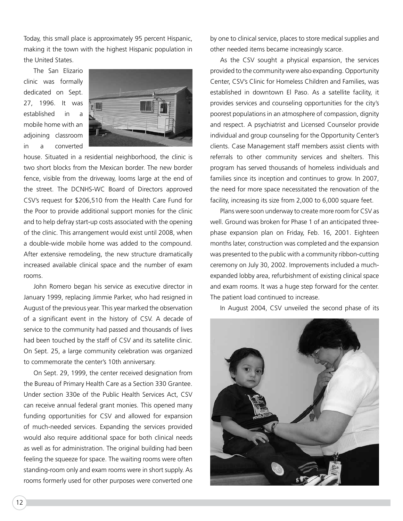Today, this small place is approximately 95 percent Hispanic, making it the town with the highest Hispanic population in the United States.

The San Elizario clinic was formally dedicated on Sept. 27, 1996. It was established in a mobile home with an adjoining classroom in a converted



house. Situated in a residential neighborhood, the clinic is two short blocks from the Mexican border. The new border fence, visible from the driveway, looms large at the end of the street. The DCNHS-WC Board of Directors approved CSV's request for \$206,510 from the Health Care Fund for the Poor to provide additional support monies for the clinic and to help defray start-up costs associated with the opening of the clinic. This arrangement would exist until 2008, when a double-wide mobile home was added to the compound. After extensive remodeling, the new structure dramatically increased available clinical space and the number of exam rooms.

John Romero began his service as executive director in January 1999, replacing Jimmie Parker, who had resigned in August of the previous year. This year marked the observation of a significant event in the history of CSV. A decade of service to the community had passed and thousands of lives had been touched by the staff of CSV and its satellite clinic. On Sept. 25, a large community celebration was organized to commemorate the center's 10th anniversary.

On Sept. 29, 1999, the center received designation from the Bureau of Primary Health Care as a Section 330 Grantee. Under section 330e of the Public Health Services Act, CSV can receive annual federal grant monies. This opened many funding opportunities for CSV and allowed for expansion of much-needed services. Expanding the services provided would also require additional space for both clinical needs as well as for administration. The original building had been feeling the squeeze for space. The waiting rooms were often standing-room only and exam rooms were in short supply. As rooms formerly used for other purposes were converted one by one to clinical service, places to store medical supplies and other needed items became increasingly scarce.

As the CSV sought a physical expansion, the services provided to the community were also expanding. Opportunity Center, CSV's Clinic for Homeless Children and Families, was established in downtown El Paso. As a satellite facility, it provides services and counseling opportunities for the city's poorest populations in an atmosphere of compassion, dignity and respect. A psychiatrist and Licensed Counselor provide individual and group counseling for the Opportunity Center's clients. Case Management staff members assist clients with referrals to other community services and shelters. This program has served thousands of homeless individuals and families since its inception and continues to grow. In 2007, the need for more space necessitated the renovation of the facility, increasing its size from 2,000 to 6,000 square feet.

Plans were soon underway to create more room for CSV as well. Ground was broken for Phase 1 of an anticipated threephase expansion plan on Friday, Feb. 16, 2001. Eighteen months later, construction was completed and the expansion was presented to the public with a community ribbon-cutting ceremony on July 30, 2002. Improvements included a muchexpanded lobby area, refurbishment of existing clinical space and exam rooms. It was a huge step forward for the center. The patient load continued to increase.

In August 2004, CSV unveiled the second phase of its

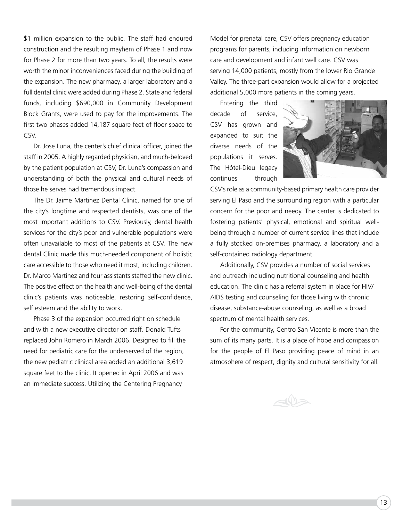\$1 million expansion to the public. The staff had endured construction and the resulting mayhem of Phase 1 and now for Phase 2 for more than two years. To all, the results were worth the minor inconveniences faced during the building of the expansion. The new pharmacy, a larger laboratory and a full dental clinic were added during Phase 2. State and federal funds, including \$690,000 in Community Development Block Grants, were used to pay for the improvements. The first two phases added 14,187 square feet of floor space to CSV.

Dr. Jose Luna, the center's chief clinical officer, joined the staff in 2005. A highly regarded physician, and much-beloved by the patient population at CSV, Dr. Luna's compassion and understanding of both the physical and cultural needs of those he serves had tremendous impact.

The Dr. Jaime Martinez Dental Clinic, named for one of the city's longtime and respected dentists, was one of the most important additions to CSV. Previously, dental health services for the city's poor and vulnerable populations were often unavailable to most of the patients at CSV. The new dental Clinic made this much-needed component of holistic care accessible to those who need it most, including children. Dr. Marco Martinez and four assistants staffed the new clinic. The positive effect on the health and well-being of the dental clinic's patients was noticeable, restoring self-confidence, self esteem and the ability to work.

Phase 3 of the expansion occurred right on schedule and with a new executive director on staff. Donald Tufts replaced John Romero in March 2006. Designed to fill the need for pediatric care for the underserved of the region, the new pediatric clinical area added an additional 3,619 square feet to the clinic. It opened in April 2006 and was an immediate success. Utilizing the Centering Pregnancy

Model for prenatal care, CSV offers pregnancy education programs for parents, including information on newborn care and development and infant well care. CSV was serving 14,000 patients, mostly from the lower Rio Grande Valley. The three-part expansion would allow for a projected additional 5,000 more patients in the coming years.

Entering the third decade of service, CSV has grown and expanded to suit the diverse needs of the populations it serves. The Hôtel-Dieu legacy continues through



CSV's role as a community-based primary health care provider serving El Paso and the surrounding region with a particular concern for the poor and needy. The center is dedicated to fostering patients' physical, emotional and spiritual wellbeing through a number of current service lines that include a fully stocked on-premises pharmacy, a laboratory and a self-contained radiology department.

Additionally, CSV provides a number of social services and outreach including nutritional counseling and health education. The clinic has a referral system in place for HIV/ AIDS testing and counseling for those living with chronic disease, substance-abuse counseling, as well as a broad spectrum of mental health services.

For the community, Centro San Vicente is more than the sum of its many parts. It is a place of hope and compassion for the people of El Paso providing peace of mind in an atmosphere of respect, dignity and cultural sensitivity for all.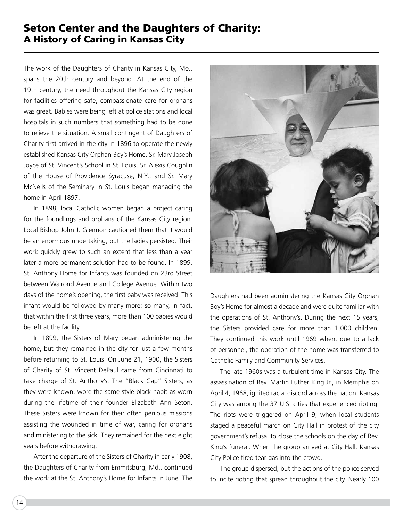#### Seton Center and the Daughters of Charity: A History of Caring in Kansas City

The work of the Daughters of Charity in Kansas City, Mo., spans the 20th century and beyond. At the end of the 19th century, the need throughout the Kansas City region for facilities offering safe, compassionate care for orphans was great. Babies were being left at police stations and local hospitals in such numbers that something had to be done to relieve the situation. A small contingent of Daughters of Charity first arrived in the city in 1896 to operate the newly established Kansas City Orphan Boy's Home. Sr. Mary Joseph Joyce of St. Vincent's School in St. Louis, Sr. Alexis Coughlin of the House of Providence Syracuse, N.Y., and Sr. Mary McNelis of the Seminary in St. Louis began managing the home in April 1897.

In 1898, local Catholic women began a project caring for the foundlings and orphans of the Kansas City region. Local Bishop John J. Glennon cautioned them that it would be an enormous undertaking, but the ladies persisted. Their work quickly grew to such an extent that less than a year later a more permanent solution had to be found. In 1899, St. Anthony Home for Infants was founded on 23rd Street between Walrond Avenue and College Avenue. Within two days of the home's opening, the first baby was received. This infant would be followed by many more; so many, in fact, that within the first three years, more than 100 babies would be left at the facility.

In 1899, the Sisters of Mary began administering the home, but they remained in the city for just a few months before returning to St. Louis. On June 21, 1900, the Sisters of Charity of St. Vincent DePaul came from Cincinnati to take charge of St. Anthony's. The "Black Cap" Sisters, as they were known, wore the same style black habit as worn during the lifetime of their founder Elizabeth Ann Seton. These Sisters were known for their often perilous missions assisting the wounded in time of war, caring for orphans and ministering to the sick. They remained for the next eight years before withdrawing.

After the departure of the Sisters of Charity in early 1908, the Daughters of Charity from Emmitsburg, Md., continued the work at the St. Anthony's Home for Infants in June. The



Daughters had been administering the Kansas City Orphan Boy's Home for almost a decade and were quite familiar with the operations of St. Anthony's. During the next 15 years, the Sisters provided care for more than 1,000 children. They continued this work until 1969 when, due to a lack of personnel, the operation of the home was transferred to Catholic Family and Community Services.

The late 1960s was a turbulent time in Kansas City. The assassination of Rev. Martin Luther King Jr., in Memphis on April 4, 1968, ignited racial discord across the nation. Kansas City was among the 37 U.S. cities that experienced rioting. The riots were triggered on April 9, when local students staged a peaceful march on City Hall in protest of the city government's refusal to close the schools on the day of Rev. King's funeral. When the group arrived at City Hall, Kansas City Police fired tear gas into the crowd.

The group dispersed, but the actions of the police served to incite rioting that spread throughout the city. Nearly 100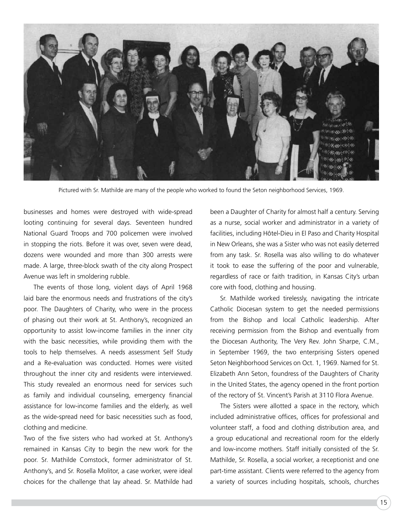

Pictured with Sr. Mathilde are many of the people who worked to found the Seton neighborhood Services, 1969.

businesses and homes were destroyed with wide-spread looting continuing for several days. Seventeen hundred National Guard Troops and 700 policemen were involved in stopping the riots. Before it was over, seven were dead, dozens were wounded and more than 300 arrests were made. A large, three-block swath of the city along Prospect Avenue was left in smoldering rubble.

The events of those long, violent days of April 1968 laid bare the enormous needs and frustrations of the city's poor. The Daughters of Charity, who were in the process of phasing out their work at St. Anthony's, recognized an opportunity to assist low-income families in the inner city with the basic necessities, while providing them with the tools to help themselves. A needs assessment Self Study and a Re-evaluation was conducted. Homes were visited throughout the inner city and residents were interviewed. This study revealed an enormous need for services such as family and individual counseling, emergency financial assistance for low-income families and the elderly, as well as the wide-spread need for basic necessities such as food, clothing and medicine.

Two of the five sisters who had worked at St. Anthony's remained in Kansas City to begin the new work for the poor. Sr. Mathilde Comstock, former administrator of St. Anthony's, and Sr. Rosella Molitor, a case worker, were ideal choices for the challenge that lay ahead. Sr. Mathilde had been a Daughter of Charity for almost half a century. Serving as a nurse, social worker and administrator in a variety of facilities, including Hôtel-Dieu in El Paso and Charity Hospital in New Orleans, she was a Sister who was not easily deterred from any task. Sr. Rosella was also willing to do whatever it took to ease the suffering of the poor and vulnerable, regardless of race or faith tradition, in Kansas City's urban core with food, clothing and housing.

Sr. Mathilde worked tirelessly, navigating the intricate Catholic Diocesan system to get the needed permissions from the Bishop and local Catholic leadership. After receiving permission from the Bishop and eventually from the Diocesan Authority, The Very Rev. John Sharpe, C.M., in September 1969, the two enterprising Sisters opened Seton Neighborhood Services on Oct. 1, 1969. Named for St. Elizabeth Ann Seton, foundress of the Daughters of Charity in the United States, the agency opened in the front portion of the rectory of St. Vincent's Parish at 3110 Flora Avenue.

The Sisters were allotted a space in the rectory, which included administrative offices, offices for professional and volunteer staff, a food and clothing distribution area, and a group educational and recreational room for the elderly and low-income mothers. Staff initially consisted of the Sr. Mathilde, Sr. Rosella, a social worker, a receptionist and one part-time assistant. Clients were referred to the agency from a variety of sources including hospitals, schools, churches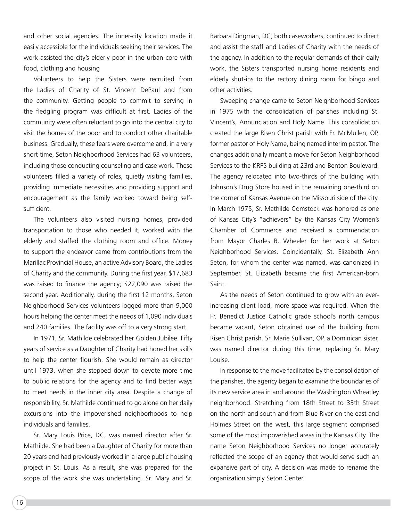and other social agencies. The inner-city location made it easily accessible for the individuals seeking their services. The work assisted the city's elderly poor in the urban core with food, clothing and housing

Volunteers to help the Sisters were recruited from the Ladies of Charity of St. Vincent DePaul and from the community. Getting people to commit to serving in the fledgling program was difficult at first. Ladies of the community were often reluctant to go into the central city to visit the homes of the poor and to conduct other charitable business. Gradually, these fears were overcome and, in a very short time, Seton Neighborhood Services had 63 volunteers, including those conducting counseling and case work. These volunteers filled a variety of roles, quietly visiting families, providing immediate necessities and providing support and encouragement as the family worked toward being selfsufficient.

The volunteers also visited nursing homes, provided transportation to those who needed it, worked with the elderly and staffed the clothing room and office. Money to support the endeavor came from contributions from the Marillac Provincial House, an active Advisory Board, the Ladies of Charity and the community. During the first year, \$17,683 was raised to finance the agency; \$22,090 was raised the second year. Additionally, during the first 12 months, Seton Neighborhood Services volunteers logged more than 9,000 hours helping the center meet the needs of 1,090 individuals and 240 families. The facility was off to a very strong start.

In 1971, Sr. Mathilde celebrated her Golden Jubilee. Fifty years of service as a Daughter of Charity had honed her skills to help the center flourish. She would remain as director until 1973, when she stepped down to devote more time to public relations for the agency and to find better ways to meet needs in the inner city area. Despite a change of responsibility, Sr. Mathilde continued to go alone on her daily excursions into the impoverished neighborhoods to help individuals and families.

Sr. Mary Louis Price, DC, was named director after Sr. Mathilde. She had been a Daughter of Charity for more than 20 years and had previously worked in a large public housing project in St. Louis. As a result, she was prepared for the scope of the work she was undertaking. Sr. Mary and Sr. Barbara Dingman, DC, both caseworkers, continued to direct and assist the staff and Ladies of Charity with the needs of the agency. In addition to the regular demands of their daily work, the Sisters transported nursing home residents and elderly shut-ins to the rectory dining room for bingo and other activities.

Sweeping change came to Seton Neighborhood Services in 1975 with the consolidation of parishes including St. Vincent's, Annunciation and Holy Name. This consolidation created the large Risen Christ parish with Fr. McMullen, OP, former pastor of Holy Name, being named interim pastor. The changes additionally meant a move for Seton Neighborhood Services to the KRPS building at 23rd and Benton Boulevard. The agency relocated into two-thirds of the building with Johnson's Drug Store housed in the remaining one-third on the corner of Kansas Avenue on the Missouri side of the city. In March 1975, Sr. Mathilde Comstock was honored as one of Kansas City's "achievers" by the Kansas City Women's Chamber of Commerce and received a commendation from Mayor Charles B. Wheeler for her work at Seton Neighborhood Services. Coincidentally, St. Elizabeth Ann Seton, for whom the center was named, was canonized in September. St. Elizabeth became the first American-born Saint.

As the needs of Seton continued to grow with an everincreasing client load, more space was required. When the Fr. Benedict Justice Catholic grade school's north campus became vacant, Seton obtained use of the building from Risen Christ parish. Sr. Marie Sullivan, OP, a Dominican sister, was named director during this time, replacing Sr. Mary Louise.

In response to the move facilitated by the consolidation of the parishes, the agency began to examine the boundaries of its new service area in and around the Washington Wheatley neighborhood. Stretching from 18th Street to 35th Street on the north and south and from Blue River on the east and Holmes Street on the west, this large segment comprised some of the most impoverished areas in the Kansas City. The name Seton Neighborhood Services no longer accurately reflected the scope of an agency that would serve such an expansive part of city. A decision was made to rename the organization simply Seton Center.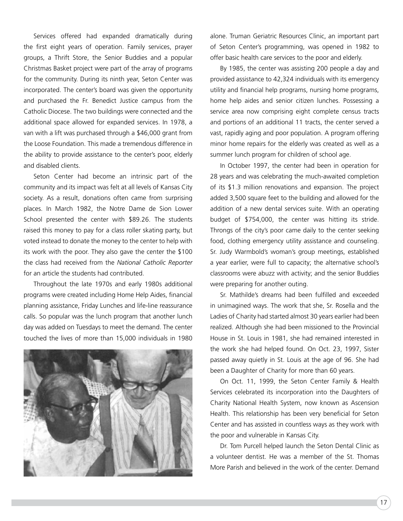Services offered had expanded dramatically during the first eight years of operation. Family services, prayer groups, a Thrift Store, the Senior Buddies and a popular Christmas Basket project were part of the array of programs for the community. During its ninth year, Seton Center was incorporated. The center's board was given the opportunity and purchased the Fr. Benedict Justice campus from the Catholic Diocese. The two buildings were connected and the additional space allowed for expanded services. In 1978, a van with a lift was purchased through a \$46,000 grant from the Loose Foundation. This made a tremendous difference in the ability to provide assistance to the center's poor, elderly and disabled clients.

Seton Center had become an intrinsic part of the community and its impact was felt at all levels of Kansas City society. As a result, donations often came from surprising places. In March 1982, the Notre Dame de Sion Lower School presented the center with \$89.26. The students raised this money to pay for a class roller skating party, but voted instead to donate the money to the center to help with its work with the poor. They also gave the center the \$100 the class had received from the *National Catholic Reporter*  for an article the students had contributed.

Throughout the late 1970s and early 1980s additional programs were created including Home Help Aides, financial planning assistance, Friday Lunches and life-line reassurance calls. So popular was the lunch program that another lunch day was added on Tuesdays to meet the demand. The center touched the lives of more than 15,000 individuals in 1980



alone. Truman Geriatric Resources Clinic, an important part of Seton Center's programming, was opened in 1982 to offer basic health care services to the poor and elderly.

By 1985, the center was assisting 200 people a day and provided assistance to 42,324 individuals with its emergency utility and financial help programs, nursing home programs, home help aides and senior citizen lunches. Possessing a service area now comprising eight complete census tracts and portions of an additional 11 tracts, the center served a vast, rapidly aging and poor population. A program offering minor home repairs for the elderly was created as well as a summer lunch program for children of school age.

In October 1997, the center had been in operation for 28 years and was celebrating the much-awaited completion of its \$1.3 million renovations and expansion. The project added 3,500 square feet to the building and allowed for the addition of a new dental services suite. With an operating budget of \$754,000, the center was hitting its stride. Throngs of the city's poor came daily to the center seeking food, clothing emergency utility assistance and counseling. Sr. Judy Warmbold's woman's group meetings, established a year earlier, were full to capacity; the alternative school's classrooms were abuzz with activity; and the senior Buddies were preparing for another outing.

Sr. Mathilde's dreams had been fulfilled and exceeded in unimagined ways. The work that she, Sr. Rosella and the Ladies of Charity had started almost 30 years earlier had been realized. Although she had been missioned to the Provincial House in St. Louis in 1981, she had remained interested in the work she had helped found. On Oct. 23, 1997, Sister passed away quietly in St. Louis at the age of 96. She had been a Daughter of Charity for more than 60 years.

On Oct. 11, 1999, the Seton Center Family & Health Services celebrated its incorporation into the Daughters of Charity National Health System, now known as Ascension Health. This relationship has been very beneficial for Seton Center and has assisted in countless ways as they work with the poor and vulnerable in Kansas City.

Dr. Tom Purcell helped launch the Seton Dental Clinic as a volunteer dentist. He was a member of the St. Thomas More Parish and believed in the work of the center. Demand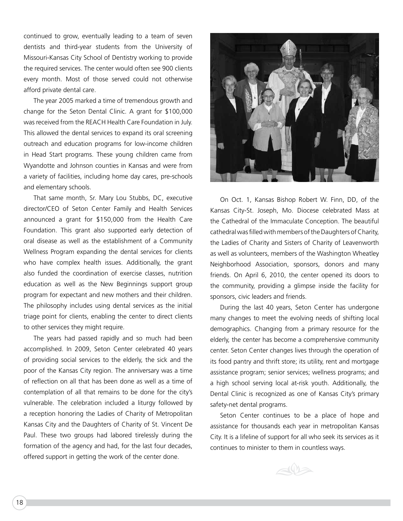continued to grow, eventually leading to a team of seven dentists and third-year students from the University of Missouri-Kansas City School of Dentistry working to provide the required services. The center would often see 900 clients every month. Most of those served could not otherwise afford private dental care.

The year 2005 marked a time of tremendous growth and change for the Seton Dental Clinic. A grant for \$100,000 was received from the REACH Health Care Foundation in July. This allowed the dental services to expand its oral screening outreach and education programs for low-income children in Head Start programs. These young children came from Wyandotte and Johnson counties in Kansas and were from a variety of facilities, including home day cares, pre-schools and elementary schools.

That same month, Sr. Mary Lou Stubbs, DC, executive director/CEO of Seton Center Family and Health Services announced a grant for \$150,000 from the Health Care Foundation. This grant also supported early detection of oral disease as well as the establishment of a Community Wellness Program expanding the dental services for clients who have complex health issues. Additionally, the grant also funded the coordination of exercise classes, nutrition education as well as the New Beginnings support group program for expectant and new mothers and their children. The philosophy includes using dental services as the initial triage point for clients, enabling the center to direct clients to other services they might require.

The years had passed rapidly and so much had been accomplished. In 2009, Seton Center celebrated 40 years of providing social services to the elderly, the sick and the poor of the Kansas City region. The anniversary was a time of reflection on all that has been done as well as a time of contemplation of all that remains to be done for the city's vulnerable. The celebration included a liturgy followed by a reception honoring the Ladies of Charity of Metropolitan Kansas City and the Daughters of Charity of St. Vincent De Paul. These two groups had labored tirelessly during the formation of the agency and had, for the last four decades, offered support in getting the work of the center done.



On Oct. 1, Kansas Bishop Robert W. Finn, DD, of the Kansas City-St. Joseph, Mo. Diocese celebrated Mass at the Cathedral of the Immaculate Conception. The beautiful cathedral was filled with members of the Daughters of Charity, the Ladies of Charity and Sisters of Charity of Leavenworth as well as volunteers, members of the Washington Wheatley Neighborhood Association, sponsors, donors and many friends. On April 6, 2010, the center opened its doors to the community, providing a glimpse inside the facility for sponsors, civic leaders and friends.

During the last 40 years, Seton Center has undergone many changes to meet the evolving needs of shifting local demographics. Changing from a primary resource for the elderly, the center has become a comprehensive community center. Seton Center changes lives through the operation of its food pantry and thrift store; its utility, rent and mortgage assistance program; senior services; wellness programs; and a high school serving local at-risk youth. Additionally, the Dental Clinic is recognized as one of Kansas City's primary safety-net dental programs.

Seton Center continues to be a place of hope and assistance for thousands each year in metropolitan Kansas City. It is a lifeline of support for all who seek its services as it continues to minister to them in countless ways.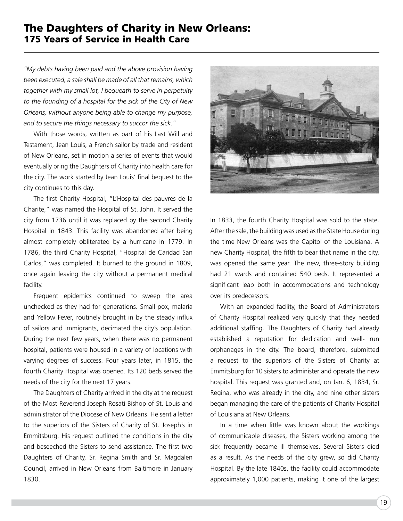#### The Daughters of Charity in New Orleans: 175 Years of Service in Health Care

*"My debts having been paid and the above provision having been executed, a sale shall be made of all that remains, which together with my small lot, I bequeath to serve in perpetuity to the founding of a hospital for the sick of the City of New Orleans, without anyone being able to change my purpose, and to secure the things necessary to succor the sick."* 

With those words, written as part of his Last Will and Testament, Jean Louis, a French sailor by trade and resident of New Orleans, set in motion a series of events that would eventually bring the Daughters of Charity into health care for the city. The work started by Jean Louis' final bequest to the city continues to this day.

The first Charity Hospital, "L'Hospital des pauvres de la Charite," was named the Hospital of St. John. It served the city from 1736 until it was replaced by the second Charity Hospital in 1843. This facility was abandoned after being almost completely obliterated by a hurricane in 1779. In 1786, the third Charity Hospital, "Hospital de Caridad San Carlos," was completed. It burned to the ground in 1809, once again leaving the city without a permanent medical facility.

Frequent epidemics continued to sweep the area unchecked as they had for generations. Small pox, malaria and Yellow Fever, routinely brought in by the steady influx of sailors and immigrants, decimated the city's population. During the next few years, when there was no permanent hospital, patients were housed in a variety of locations with varying degrees of success. Four years later, in 1815, the fourth Charity Hospital was opened. Its 120 beds served the needs of the city for the next 17 years.

The Daughters of Charity arrived in the city at the request of the Most Reverend Joseph Rosati Bishop of St. Louis and administrator of the Diocese of New Orleans. He sent a letter to the superiors of the Sisters of Charity of St. Joseph's in Emmitsburg. His request outlined the conditions in the city and beseeched the Sisters to send assistance. The first two Daughters of Charity, Sr. Regina Smith and Sr. Magdalen Council, arrived in New Orleans from Baltimore in January 1830.



In 1833, the fourth Charity Hospital was sold to the state. After the sale, the building was used as the State House during the time New Orleans was the Capitol of the Louisiana. A new Charity Hospital, the fifth to bear that name in the city, was opened the same year. The new, three-story building had 21 wards and contained 540 beds. It represented a significant leap both in accommodations and technology over its predecessors.

With an expanded facility, the Board of Administrators of Charity Hospital realized very quickly that they needed additional staffing. The Daughters of Charity had already established a reputation for dedication and well- run orphanages in the city. The board, therefore, submitted a request to the superiors of the Sisters of Charity at Emmitsburg for 10 sisters to administer and operate the new hospital. This request was granted and, on Jan. 6, 1834, Sr. Regina, who was already in the city, and nine other sisters began managing the care of the patients of Charity Hospital of Louisiana at New Orleans.

In a time when little was known about the workings of communicable diseases, the Sisters working among the sick frequently became ill themselves. Several Sisters died as a result. As the needs of the city grew, so did Charity Hospital. By the late 1840s, the facility could accommodate approximately 1,000 patients, making it one of the largest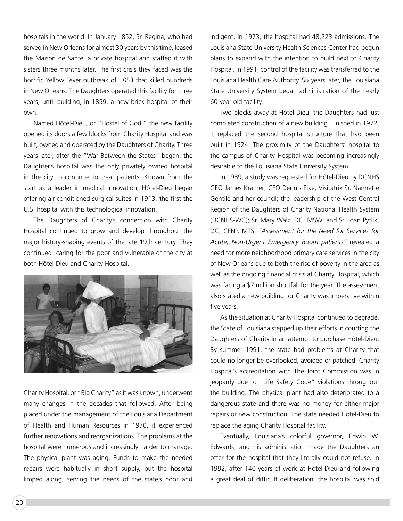hospitals in the world. In January 1852, Sr. Regina, who had served in New Orleans for almost 30 years by this time, leased the Maison de Sante, a private hospital and staffed it with sisters three months later. The first crisis they faced was the horrific Yellow Fever outbreak of 1853 that killed hundreds in New Orleans. The Daughters operated this facility for three years, until building, in 1859, a new brick hospital of their own.

Named Hôtel-Dieu, or "Hostel of God," the new facility opened its doors a few blocks from Charity Hospital and was built, owned and operated by the Daughters of Charity. Three years later, after the "War Between the States" began, the Daughter's hospital was the only privately owned hospital in the city to continue to treat patients. Known from the start as a leader in medical innovation, Hôtel-Dieu began offering air-conditioned surgical suites in 1913, the first the U.S. hospital with this technological innovation.

The Daughters of Charity's connection with Charity Hospital continued to grow and develop throughout the major history-shaping events of the late 19th century. They continued caring for the poor and vulnerable of the city at both Hôtel-Dieu and Charity Hospital.



Charity Hospital, or "Big Charity" as it was known, underwent many changes in the decades that followed. After being placed under the management of the Louisiana Department of Health and Human Resources in 1970, it experienced further renovations and reorganizations. The problems at the hospital were numerous and increasingly harder to manage. The physical plant was aging. Funds to make the needed repairs were habitually in short supply, but the hospital limped along, serving the needs of the state's poor and

indigent. In 1973, the hospital had 48,223 admissions. The Louisiana State University Health Sciences Center had begun plans to expand with the intention to build next to Charity Hospital. In 1991, control of the facility was transferred to the Louisiana Health Care Authority. Six years later, the Louisiana State University System began administration of the nearly 60-year-old facility.

Two blocks away at Hôtel-Dieu, the Daughters had just completed construction of a new building. Finished in 1972, it replaced the second hospital structure that had been built in 1924. The proximity of the Daughters' hospital to the campus of Charity Hospital was becoming increasingly desirable to the Louisiana State University System.

In 1989, a study was requested for Hôtel-Dieu by DCNHS CEO James Kramer; CFO Dennis Eike; Visitatrix Sr. Nannette Gentile and her council; the leadership of the West Central Region of the Daughters of Charity National Health System (DCNHS-WC); Sr. Mary Walz, DC, MSW; and Sr. Joan Pytlik, DC, CFNP, MTS. *"Assessment for the Need for Services for Acute, Non-Urgent Emergency Room patients"* revealed a need for more neighborhood primary care services in the city of New Orleans due to both the rise of poverty in the area as well as the ongoing financial crisis at Charity Hospital, which was facing a \$7 million shortfall for the year. The assessment also stated a new building for Charity was imperative within five years.

As the situation at Charity Hospital continued to degrade, the State of Louisiana stepped up their efforts in courting the Daughters of Charity in an attempt to purchase Hôtel-Dieu. By summer 1991, the state had problems at Charity that could no longer be overlooked, avoided or patched. Charity Hospital's accreditation with The Joint Commission was in jeopardy due to "Life Safety Code" violations throughout the building. The physical plant had also deteriorated to a dangerous state and there was no money for either major repairs or new construction. The state needed Hôtel-Dieu to replace the aging Charity Hospital facility.

Eventually, Louisiana's colorful governor, Edwin W. Edwards, and his administration made the Daughters an offer for the hospital that they literally could not refuse. In 1992, after 140 years of work at Hôtel-Dieu and following a great deal of difficult deliberation, the hospital was sold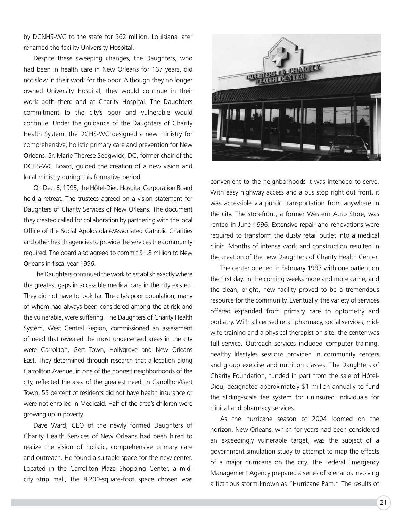by DCNHS-WC to the state for \$62 million. Louisiana later renamed the facility University Hospital.

Despite these sweeping changes, the Daughters, who had been in health care in New Orleans for 167 years, did not slow in their work for the poor. Although they no longer owned University Hospital, they would continue in their work both there and at Charity Hospital. The Daughters commitment to the city's poor and vulnerable would continue. Under the guidance of the Daughters of Charity Health System, the DCHS-WC designed a new ministry for comprehensive, holistic primary care and prevention for New Orleans. Sr. Marie Therese Sedgwick, DC, former chair of the DCHS-WC Board, guided the creation of a new vision and local ministry during this formative period.

On Dec. 6, 1995, the Hôtel-Dieu Hospital Corporation Board held a retreat. The trustees agreed on a vision statement for Daughters of Charity Services of New Orleans. The document they created called for collaboration by partnering with the local Office of the Social Apolostolate/Associated Catholic Charities and other health agencies to provide the services the community required. The board also agreed to commit \$1.8 million to New Orleans in fiscal year 1996.

The Daughters continued the work to establish exactly where the greatest gaps in accessible medical care in the city existed. They did not have to look far. The city's poor population, many of whom had always been considered among the at-risk and the vulnerable, were suffering. The Daughters of Charity Health System, West Central Region, commissioned an assessment of need that revealed the most underserved areas in the city were Carrollton, Gert Town, Hollygrove and New Orleans East. They determined through research that a location along Carrollton Avenue, in one of the poorest neighborhoods of the city, reflected the area of the greatest need. In Carrollton/Gert Town, 55 percent of residents did not have health insurance or were not enrolled in Medicaid. Half of the area's children were growing up in poverty.

Dave Ward, CEO of the newly formed Daughters of Charity Health Services of New Orleans had been hired to realize the vision of holistic, comprehensive primary care and outreach. He found a suitable space for the new center. Located in the Carrollton Plaza Shopping Center, a midcity strip mall, the 8,200-square-foot space chosen was



convenient to the neighborhoods it was intended to serve. With easy highway access and a bus stop right out front, it was accessible via public transportation from anywhere in the city. The storefront, a former Western Auto Store, was rented in June 1996. Extensive repair and renovations were required to transform the dusty retail outlet into a medical clinic. Months of intense work and construction resulted in the creation of the new Daughters of Charity Health Center.

The center opened in February 1997 with one patient on the first day. In the coming weeks more and more came, and the clean, bright, new facility proved to be a tremendous resource for the community. Eventually, the variety of services offered expanded from primary care to optometry and podiatry. With a licensed retail pharmacy, social services, midwife training and a physical therapist on site, the center was full service. Outreach services included computer training, healthy lifestyles sessions provided in community centers and group exercise and nutrition classes. The Daughters of Charity Foundation, funded in part from the sale of Hôtel-Dieu, designated approximately \$1 million annually to fund the sliding-scale fee system for uninsured individuals for clinical and pharmacy services.

As the hurricane season of 2004 loomed on the horizon, New Orleans, which for years had been considered an exceedingly vulnerable target, was the subject of a government simulation study to attempt to map the effects of a major hurricane on the city. The Federal Emergency Management Agency prepared a series of scenarios involving a fictitious storm known as "Hurricane Pam." The results of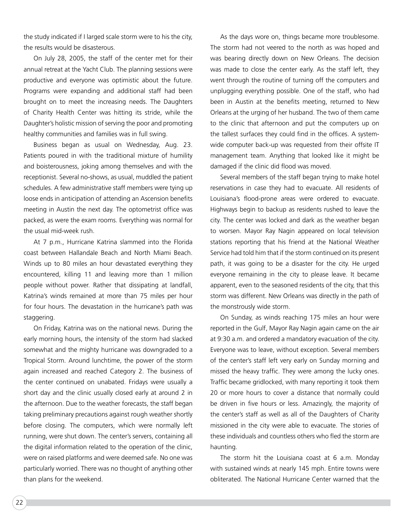the study indicated if I larged scale storm were to his the city, the results would be disasterous.

On July 28, 2005, the staff of the center met for their annual retreat at the Yacht Club. The planning sessions were productive and everyone was optimistic about the future. Programs were expanding and additional staff had been brought on to meet the increasing needs. The Daughters of Charity Health Center was hitting its stride, while the Daughter's holistic mission of serving the poor and promoting healthy communities and families was in full swing.

Business began as usual on Wednesday, Aug. 23. Patients poured in with the traditional mixture of humility and boisterousness, joking among themselves and with the receptionist. Several no-shows, as usual, muddled the patient schedules. A few administrative staff members were tying up loose ends in anticipation of attending an Ascension benefits meeting in Austin the next day. The optometrist office was packed, as were the exam rooms. Everything was normal for the usual mid-week rush.

At 7 p.m., Hurricane Katrina slammed into the Florida coast between Hallandale Beach and North Miami Beach. Winds up to 80 miles an hour devastated everything they encountered, killing 11 and leaving more than 1 million people without power. Rather that dissipating at landfall, Katrina's winds remained at more than 75 miles per hour for four hours. The devastation in the hurricane's path was staggering.

On Friday, Katrina was on the national news. During the early morning hours, the intensity of the storm had slacked somewhat and the mighty hurricane was downgraded to a Tropical Storm. Around lunchtime, the power of the storm again increased and reached Category 2. The business of the center continued on unabated. Fridays were usually a short day and the clinic usually closed early at around 2 in the afternoon. Due to the weather forecasts, the staff began taking preliminary precautions against rough weather shortly before closing. The computers, which were normally left running, were shut down. The center's servers, containing all the digital information related to the operation of the clinic, were on raised platforms and were deemed safe. No one was particularly worried. There was no thought of anything other than plans for the weekend.

As the days wore on, things became more troublesome. The storm had not veered to the north as was hoped and was bearing directly down on New Orleans. The decision was made to close the center early. As the staff left, they went through the routine of turning off the computers and unplugging everything possible. One of the staff, who had been in Austin at the benefits meeting, returned to New Orleans at the urging of her husband. The two of them came to the clinic that afternoon and put the computers up on the tallest surfaces they could find in the offices. A systemwide computer back-up was requested from their offsite IT management team. Anything that looked like it might be damaged if the clinic did flood was moved.

Several members of the staff began trying to make hotel reservations in case they had to evacuate. All residents of Louisiana's flood-prone areas were ordered to evacuate. Highways begin to backup as residents rushed to leave the city. The center was locked and dark as the weather began to worsen. Mayor Ray Nagin appeared on local television stations reporting that his friend at the National Weather Service had told him that if the storm continued on its present path, it was going to be a disaster for the city. He urged everyone remaining in the city to please leave. It became apparent, even to the seasoned residents of the city, that this storm was different. New Orleans was directly in the path of the monstrously wide storm.

On Sunday, as winds reaching 175 miles an hour were reported in the Gulf, Mayor Ray Nagin again came on the air at 9:30 a.m. and ordered a mandatory evacuation of the city. Everyone was to leave, without exception. Several members of the center's staff left very early on Sunday morning and missed the heavy traffic. They were among the lucky ones. Traffic became gridlocked, with many reporting it took them 20 or more hours to cover a distance that normally could be driven in five hours or less. Amazingly, the majority of the center's staff as well as all of the Daughters of Charity missioned in the city were able to evacuate. The stories of these individuals and countless others who fled the storm are haunting.

The storm hit the Louisiana coast at 6 a.m. Monday with sustained winds at nearly 145 mph. Entire towns were obliterated. The National Hurricane Center warned that the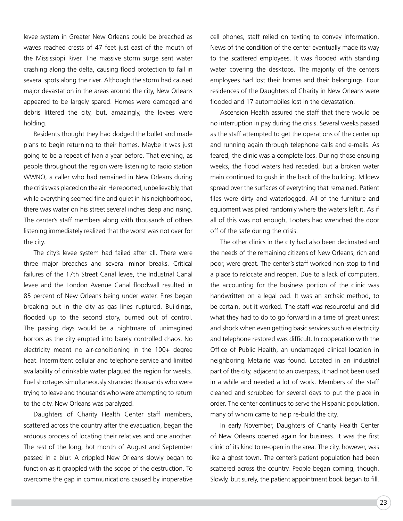levee system in Greater New Orleans could be breached as waves reached crests of 47 feet just east of the mouth of the Mississippi River. The massive storm surge sent water crashing along the delta, causing flood protection to fail in several spots along the river. Although the storm had caused major devastation in the areas around the city, New Orleans appeared to be largely spared. Homes were damaged and debris littered the city, but, amazingly, the levees were holding.

Residents thought they had dodged the bullet and made plans to begin returning to their homes. Maybe it was just going to be a repeat of Ivan a year before. That evening, as people throughout the region were listening to radio station WWNO, a caller who had remained in New Orleans during the crisis was placed on the air. He reported, unbelievably, that while everything seemed fine and quiet in his neighborhood, there was water on his street several inches deep and rising. The center's staff members along with thousands of others listening immediately realized that the worst was not over for the city.

The city's levee system had failed after all. There were three major breaches and several minor breaks. Critical failures of the 17th Street Canal levee, the Industrial Canal levee and the London Avenue Canal floodwall resulted in 85 percent of New Orleans being under water. Fires began breaking out in the city as gas lines ruptured. Buildings, flooded up to the second story, burned out of control. The passing days would be a nightmare of unimagined horrors as the city erupted into barely controlled chaos. No electricity meant no air-conditioning in the 100+ degree heat. Intermittent cellular and telephone service and limited availability of drinkable water plagued the region for weeks. Fuel shortages simultaneously stranded thousands who were trying to leave and thousands who were attempting to return to the city. New Orleans was paralyzed.

Daughters of Charity Health Center staff members, scattered across the country after the evacuation, began the arduous process of locating their relatives and one another. The rest of the long, hot month of August and September passed in a blur. A crippled New Orleans slowly began to function as it grappled with the scope of the destruction. To overcome the gap in communications caused by inoperative

cell phones, staff relied on texting to convey information. News of the condition of the center eventually made its way to the scattered employees. It was flooded with standing water covering the desktops. The majority of the centers employees had lost their homes and their belongings. Four residences of the Daughters of Charity in New Orleans were flooded and 17 automobiles lost in the devastation.

Ascension Health assured the staff that there would be no interruption in pay during the crisis. Several weeks passed as the staff attempted to get the operations of the center up and running again through telephone calls and e-mails. As feared, the clinic was a complete loss. During those ensuing weeks, the flood waters had receded, but a broken water main continued to gush in the back of the building. Mildew spread over the surfaces of everything that remained. Patient files were dirty and waterlogged. All of the furniture and equipment was piled randomly where the waters left it. As if all of this was not enough, Looters had wrenched the door off of the safe during the crisis.

The other clinics in the city had also been decimated and the needs of the remaining citizens of New Orleans, rich and poor, were great. The center's staff worked non-stop to find a place to relocate and reopen. Due to a lack of computers, the accounting for the business portion of the clinic was handwritten on a legal pad. It was an archaic method, to be certain, but it worked. The staff was resourceful and did what they had to do to go forward in a time of great unrest and shock when even getting basic services such as electricity and telephone restored was difficult. In cooperation with the Office of Public Health, an undamaged clinical location in neighboring Metairie was found. Located in an industrial part of the city, adjacent to an overpass, it had not been used in a while and needed a lot of work. Members of the staff cleaned and scrubbed for several days to put the place in order. The center continues to serve the Hispanic population, many of whom came to help re-build the city.

In early November, Daughters of Charity Health Center of New Orleans opened again for business. It was the first clinic of its kind to re-open in the area. The city, however, was like a ghost town. The center's patient population had been scattered across the country. People began coming, though. Slowly, but surely, the patient appointment book began to fill.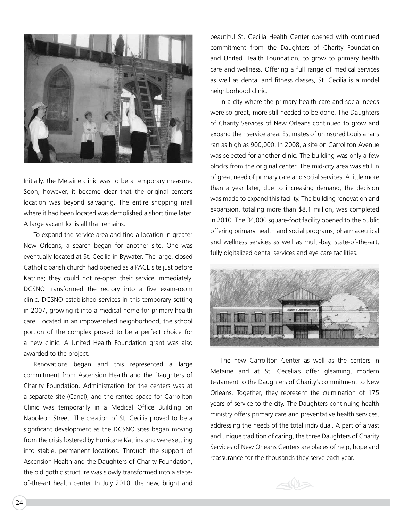

Initially, the Metairie clinic was to be a temporary measure. Soon, however, it became clear that the original center's location was beyond salvaging. The entire shopping mall where it had been located was demolished a short time later. A large vacant lot is all that remains.

To expand the service area and find a location in greater New Orleans, a search began for another site. One was eventually located at St. Cecilia in Bywater. The large, closed Catholic parish church had opened as a PACE site just before Katrina; they could not re-open their service immediately. DCSNO transformed the rectory into a five exam-room clinic. DCSNO established services in this temporary setting in 2007, growing it into a medical home for primary health care. Located in an impoverished neighborhood, the school portion of the complex proved to be a perfect choice for a new clinic. A United Health Foundation grant was also awarded to the project.

Renovations began and this represented a large commitment from Ascension Health and the Daughters of Charity Foundation. Administration for the centers was at a separate site (Canal), and the rented space for Carrollton Clinic was temporarily in a Medical Office Building on Napoleon Street. The creation of St. Cecilia proved to be a significant development as the DCSNO sites began moving from the crisis fostered by Hurricane Katrina and were settling into stable, permanent locations. Through the support of Ascension Health and the Daughters of Charity Foundation, the old gothic structure was slowly transformed into a stateof-the-art health center. In July 2010, the new, bright and

beautiful St. Cecilia Health Center opened with continued commitment from the Daughters of Charity Foundation and United Health Foundation, to grow to primary health care and wellness. Offering a full range of medical services as well as dental and fitness classes, St. Cecilia is a model neighborhood clinic.

In a city where the primary health care and social needs were so great, more still needed to be done. The Daughters of Charity Services of New Orleans continued to grow and expand their service area. Estimates of uninsured Louisianans ran as high as 900,000. In 2008, a site on Carrollton Avenue was selected for another clinic. The building was only a few blocks from the original center. The mid-city area was still in of great need of primary care and social services. A little more than a year later, due to increasing demand, the decision was made to expand this facility. The building renovation and expansion, totaling more than \$8.1 million, was completed in 2010. The 34,000 square-foot facility opened to the public offering primary health and social programs, pharmaceutical and wellness services as well as multi-bay, state-of-the-art, fully digitalized dental services and eye care facilities.



The new Carrollton Center as well as the centers in Metairie and at St. Cecelia's offer gleaming, modern testament to the Daughters of Charity's commitment to New Orleans. Together, they represent the culmination of 175 years of service to the city. The Daughters continuing health ministry offers primary care and preventative health services, addressing the needs of the total individual. A part of a vast and unique tradition of caring, the three Daughters of Charity Services of New Orleans Centers are places of help, hope and reassurance for the thousands they serve each year.

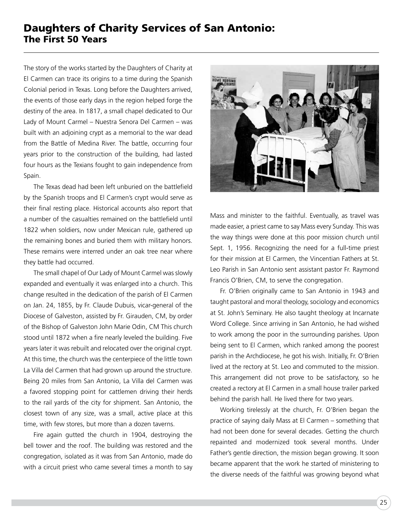#### Daughters of Charity Services of San Antonio: The First 50 Years

The story of the works started by the Daughters of Charity at El Carmen can trace its origins to a time during the Spanish Colonial period in Texas. Long before the Daughters arrived, the events of those early days in the region helped forge the destiny of the area. In 1817, a small chapel dedicated to Our Lady of Mount Carmel – Nuestra Senora Del Carmen – was built with an adjoining crypt as a memorial to the war dead from the Battle of Medina River. The battle, occurring four years prior to the construction of the building, had lasted four hours as the Texians fought to gain independence from Spain.

The Texas dead had been left unburied on the battlefield by the Spanish troops and El Carmen's crypt would serve as their final resting place. Historical accounts also report that a number of the casualties remained on the battlefield until 1822 when soldiers, now under Mexican rule, gathered up the remaining bones and buried them with military honors. These remains were interred under an oak tree near where they battle had occurred.

The small chapel of Our Lady of Mount Carmel was slowly expanded and eventually it was enlarged into a church. This change resulted in the dedication of the parish of El Carmen on Jan. 24, 1855, by Fr. Claude Dubuis, vicar-general of the Diocese of Galveston, assisted by Fr. Girauden, CM, by order of the Bishop of Galveston John Marie Odin, CM This church stood until 1872 when a fire nearly leveled the building. Five years later it was rebuilt and relocated over the original crypt. At this time, the church was the centerpiece of the little town La Villa del Carmen that had grown up around the structure. Being 20 miles from San Antonio, La Villa del Carmen was a favored stopping point for cattlemen driving their herds to the rail yards of the city for shipment. San Antonio, the closest town of any size, was a small, active place at this time, with few stores, but more than a dozen taverns.

Fire again gutted the church in 1904, destroying the bell tower and the roof. The building was restored and the congregation, isolated as it was from San Antonio, made do with a circuit priest who came several times a month to say



Mass and minister to the faithful. Eventually, as travel was made easier, a priest came to say Mass every Sunday. This was the way things were done at this poor mission church until Sept. 1, 1956. Recognizing the need for a full-time priest for their mission at El Carmen, the Vincentian Fathers at St. Leo Parish in San Antonio sent assistant pastor Fr. Raymond Francis O'Brien, CM, to serve the congregation.

Fr. O'Brien originally came to San Antonio in 1943 and taught pastoral and moral theology, sociology and economics at St. John's Seminary. He also taught theology at Incarnate Word College. Since arriving in San Antonio, he had wished to work among the poor in the surrounding parishes. Upon being sent to El Carmen, which ranked among the poorest parish in the Archdiocese, he got his wish. Initially, Fr. O'Brien lived at the rectory at St. Leo and commuted to the mission. This arrangement did not prove to be satisfactory, so he created a rectory at El Carmen in a small house trailer parked behind the parish hall. He lived there for two years.

Working tirelessly at the church, Fr. O'Brien began the practice of saying daily Mass at El Carmen – something that had not been done for several decades. Getting the church repainted and modernized took several months. Under Father's gentle direction, the mission began growing. It soon became apparent that the work he started of ministering to the diverse needs of the faithful was growing beyond what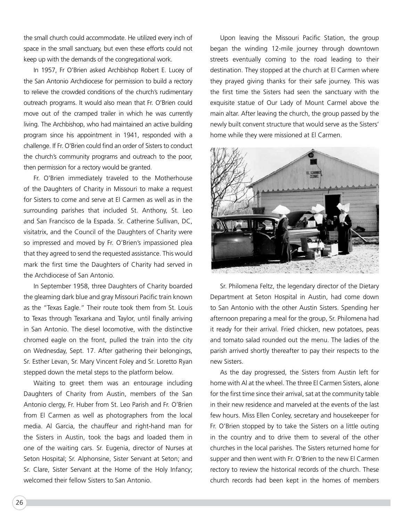the small church could accommodate. He utilized every inch of space in the small sanctuary, but even these efforts could not keep up with the demands of the congregational work.

In 1957, Fr O'Brien asked Archbishop Robert E. Lucey of the San Antonio Archdiocese for permission to build a rectory to relieve the crowded conditions of the church's rudimentary outreach programs. It would also mean that Fr. O'Brien could move out of the cramped trailer in which he was currently living. The Archbishop, who had maintained an active building program since his appointment in 1941, responded with a challenge. If Fr. O'Brien could find an order of Sisters to conduct the church's community programs and outreach to the poor, then permission for a rectory would be granted.

Fr. O'Brien immediately traveled to the Motherhouse of the Daughters of Charity in Missouri to make a request for Sisters to come and serve at El Carmen as well as in the surrounding parishes that included St. Anthony, St. Leo and San Francisco de la Espada. Sr. Catherine Sullivan, DC, visitatrix, and the Council of the Daughters of Charity were so impressed and moved by Fr. O'Brien's impassioned plea that they agreed to send the requested assistance. This would mark the first time the Daughters of Charity had served in the Archdiocese of San Antonio.

In September 1958, three Daughters of Charity boarded the gleaming dark blue and gray Missouri Pacific train known as the "Texas Eagle." Their route took them from St. Louis to Texas through Texarkana and Taylor, until finally arriving in San Antonio. The diesel locomotive, with the distinctive chromed eagle on the front, pulled the train into the city on Wednesday, Sept. 17. After gathering their belongings, Sr. Esther Levan, Sr. Mary Vincent Foley and Sr. Loretto Ryan stepped down the metal steps to the platform below.

Waiting to greet them was an entourage including Daughters of Charity from Austin, members of the San Antonio clergy, Fr. Huber from St. Leo Parish and Fr. O'Brien from El Carmen as well as photographers from the local media. Al Garcia, the chauffeur and right-hand man for the Sisters in Austin, took the bags and loaded them in one of the waiting cars. Sr. Eugenia, director of Nurses at Seton Hospital; Sr. Alphonsine, Sister Servant at Seton; and Sr. Clare, Sister Servant at the Home of the Holy Infancy; welcomed their fellow Sisters to San Antonio.

Upon leaving the Missouri Pacific Station, the group began the winding 12-mile journey through downtown streets eventually coming to the road leading to their destination. They stopped at the church at El Carmen where they prayed giving thanks for their safe journey. This was the first time the Sisters had seen the sanctuary with the exquisite statue of Our Lady of Mount Carmel above the main altar. After leaving the church, the group passed by the newly built convent structure that would serve as the Sisters' home while they were missioned at El Carmen.



Sr. Philomena Feltz, the legendary director of the Dietary Department at Seton Hospital in Austin, had come down to San Antonio with the other Austin Sisters. Spending her afternoon preparing a meal for the group, Sr. Philomena had it ready for their arrival. Fried chicken, new potatoes, peas and tomato salad rounded out the menu. The ladies of the parish arrived shortly thereafter to pay their respects to the new Sisters.

As the day progressed, the Sisters from Austin left for home with Al at the wheel. The three El Carmen Sisters, alone for the first time since their arrival, sat at the community table in their new residence and marveled at the events of the last few hours. Miss Ellen Conley, secretary and housekeeper for Fr. O'Brien stopped by to take the Sisters on a little outing in the country and to drive them to several of the other churches in the local parishes. The Sisters returned home for supper and then went with Fr. O'Brien to the new El Carmen rectory to review the historical records of the church. These church records had been kept in the homes of members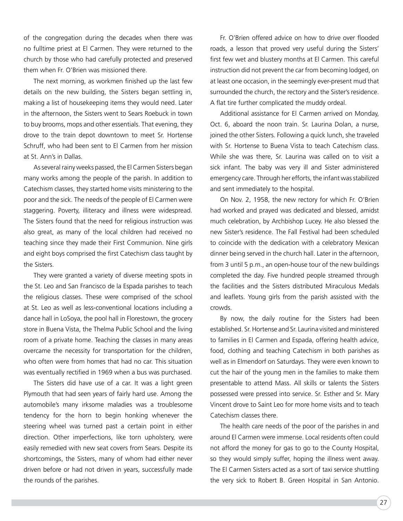of the congregation during the decades when there was no fulltime priest at El Carmen. They were returned to the church by those who had carefully protected and preserved them when Fr. O'Brien was missioned there.

The next morning, as workmen finished up the last few details on the new building, the Sisters began settling in, making a list of housekeeping items they would need. Later in the afternoon, the Sisters went to Sears Roebuck in town to buy brooms, mops and other essentials. That evening, they drove to the train depot downtown to meet Sr. Hortense Schruff, who had been sent to El Carmen from her mission at St. Ann's in Dallas.

As several rainy weeks passed, the El Carmen Sisters began many works among the people of the parish. In addition to Catechism classes, they started home visits ministering to the poor and the sick. The needs of the people of El Carmen were staggering. Poverty, illiteracy and illness were widespread. The Sisters found that the need for religious instruction was also great, as many of the local children had received no teaching since they made their First Communion. Nine girls and eight boys comprised the first Catechism class taught by the Sisters.

They were granted a variety of diverse meeting spots in the St. Leo and San Francisco de la Espada parishes to teach the religious classes. These were comprised of the school at St. Leo as well as less-conventional locations including a dance hall in LoSoya, the pool hall in Florestown, the grocery store in Buena Vista, the Thelma Public School and the living room of a private home. Teaching the classes in many areas overcame the necessity for transportation for the children, who often were from homes that had no car. This situation was eventually rectified in 1969 when a bus was purchased.

The Sisters did have use of a car. It was a light green Plymouth that had seen years of fairly hard use. Among the automobile's many irksome maladies was a troublesome tendency for the horn to begin honking whenever the steering wheel was turned past a certain point in either direction. Other imperfections, like torn upholstery, were easily remedied with new seat covers from Sears. Despite its shortcomings, the Sisters, many of whom had either never driven before or had not driven in years, successfully made the rounds of the parishes.

Fr. O'Brien offered advice on how to drive over flooded roads, a lesson that proved very useful during the Sisters' first few wet and blustery months at El Carmen. This careful instruction did not prevent the car from becoming lodged, on at least one occasion, in the seemingly ever-present mud that surrounded the church, the rectory and the Sister's residence. A flat tire further complicated the muddy ordeal.

Additional assistance for El Carmen arrived on Monday, Oct. 6, aboard the noon train. Sr. Laurina Dolan, a nurse, joined the other Sisters. Following a quick lunch, she traveled with Sr. Hortense to Buena Vista to teach Catechism class. While she was there, Sr. Laurina was called on to visit a sick infant. The baby was very ill and Sister administered emergency care. Through her efforts, the infant was stabilized and sent immediately to the hospital.

On Nov. 2, 1958, the new rectory for which Fr. O'Brien had worked and prayed was dedicated and blessed, amidst much celebration, by Archbishop Lucey. He also blessed the new Sister's residence. The Fall Festival had been scheduled to coincide with the dedication with a celebratory Mexican dinner being served in the church hall. Later in the afternoon, from 3 until 5 p.m., an open-house tour of the new buildings completed the day. Five hundred people streamed through the facilities and the Sisters distributed Miraculous Medals and leaflets. Young girls from the parish assisted with the crowds.

By now, the daily routine for the Sisters had been established. Sr. Hortense and Sr. Laurina visited and ministered to families in El Carmen and Espada, offering health advice, food, clothing and teaching Catechism in both parishes as well as in Elmendorf on Saturdays. They were even known to cut the hair of the young men in the families to make them presentable to attend Mass. All skills or talents the Sisters possessed were pressed into service. Sr. Esther and Sr. Mary Vincent drove to Saint Leo for more home visits and to teach Catechism classes there.

The health care needs of the poor of the parishes in and around El Carmen were immense. Local residents often could not afford the money for gas to go to the County Hospital, so they would simply suffer, hoping the illness went away. The El Carmen Sisters acted as a sort of taxi service shuttling the very sick to Robert B. Green Hospital in San Antonio.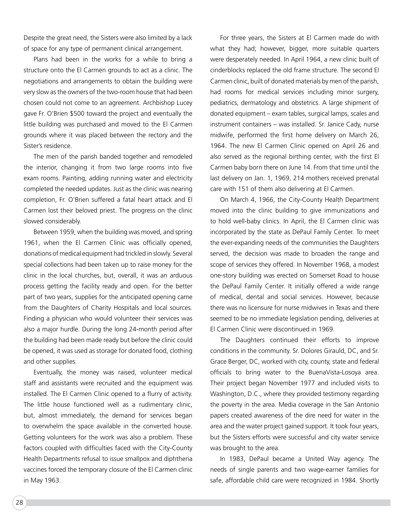Despite the great need, the Sisters were also limited by a lack of space for any type of permanent clinical arrangement.

Plans had been in the works for a while to bring a structure onto the El Carmen grounds to act as a clinic. The negotiations and arrangements to obtain the building were very slow as the owners of the two-room house that had been chosen could not come to an agreement. Archbishop Lucey gave Fr. O'Brien \$500 toward the project and eventually the little building was purchased and moved to the El Carmen grounds where it was placed between the rectory and the Sister's residence.

The men of the parish banded together and remodeled the interior, changing it from two large rooms into five exam rooms. Painting, adding running water and electricity completed the needed updates. Just as the clinic was nearing completion, Fr. O'Brien suffered a fatal heart attack and El Carmen lost their beloved priest. The progress on the clinic slowed considerably.

Between 1959, when the building was moved, and spring 1961, when the El Carmen Clinic was officially opened, donations of medical equipment had trickled in slowly. Several special collections had been taken up to raise money for the clinic in the local churches, but, overall, it was an arduous process getting the facility ready and open. For the better part of two years, supplies for the anticipated opening came from the Daughters of Charity Hospitals and local sources. Finding a physician who would volunteer their services was also a major hurdle. During the long 24-month period after the building had been made ready but before the clinic could be opened, it was used as storage for donated food, clothing and other supplies.

Eventually, the money was raised, volunteer medical staff and assistants were recruited and the equipment was installed. The El Carmen Clinic opened to a flurry of activity. The little house functioned well as a rudimentary clinic, but, almost immediately, the demand for services began to overwhelm the space available in the converted house. Getting volunteers for the work was also a problem. These factors coupled with difficulties faced with the City-County Health Departments refusal to issue smallpox and diphtheria vaccines forced the temporary closure of the El Carmen clinic in May 1963.

For three years, the Sisters at El Carmen made do with what they had; however, bigger, more suitable quarters were desperately needed. In April 1964, a new clinic built of cinderblocks replaced the old frame structure. The second El Carmen clinic, built of donated materials by men of the parish, had rooms for medical services including minor surgery, pediatrics, dermatology and obstetrics. A large shipment of donated equipment – exam tables, surgical lamps, scales and instrument containers – was installed. Sr. Janice Cady, nurse midwife, performed the first home delivery on March 26, 1964. The new El Carmen Clinic opened on April 26 and also served as the regional birthing center, with the first El Carmen baby born there on June 14. From that time until the last delivery on Jan. 1, 1969, 214 mothers received prenatal care with 151 of them also delivering at El Carmen.

On March 4, 1966, the City-County Health Department moved into the clinic building to give immunizations and to hold well-baby clinics. In April, the El Carmen clinic was incorporated by the state as DePaul Family Center. To meet the ever-expanding needs of the communities the Daughters served, the decision was made to broaden the range and scope of services they offered. In November 1968, a modest one-story building was erected on Somerset Road to house the DePaul Family Center. It initially offered a wide range of medical, dental and social services. However, because there was no licensure for nurse midwives in Texas and there seemed to be no immediate legislation pending, deliveries at El Carmen Clinic were discontinued in 1969.

The Daughters continued their efforts to improve conditions in the community. Sr. Dolores Girauld, DC, and Sr. Grace Berger, DC, worked with city, county, state and federal officials to bring water to the BuenaVista-Losoya area. Their project began November 1977 and included visits to Washington, D.C., where they provided testimony regarding the poverty in the area. Media coverage in the San Antonio papers created awareness of the dire need for water in the area and the water project gained support. It took four years, but the Sisters efforts were successful and city water service was brought to the area.

In 1983, DePaul became a United Way agency. The needs of single parents and two wage-earner families for safe, affordable child care were recognized in 1984. Shortly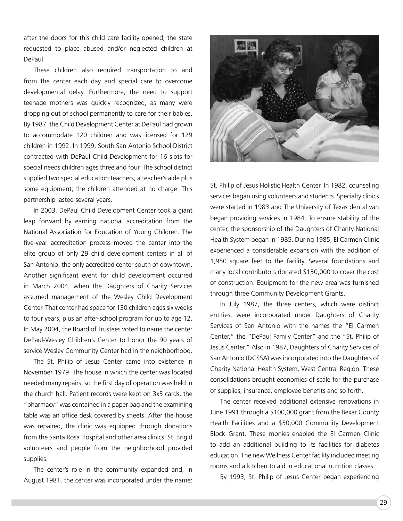after the doors for this child care facility opened, the state requested to place abused and/or neglected children at DePaul.

These children also required transportation to and from the center each day and special care to overcome developmental delay. Furthermore, the need to support teenage mothers was quickly recognized, as many were dropping out of school permanently to care for their babies. By 1987, the Child Development Center at DePaul had grown to accommodate 120 children and was licensed for 129 children in 1992. In 1999, South San Antonio School District contracted with DePaul Child Development for 16 slots for special needs children ages three and four. The school district supplied two special education teachers, a teacher's aide plus some equipment; the children attended at no charge. This partnership lasted several years.

In 2003, DePaul Child Development Center took a giant leap forward by earning national accreditation from the National Association for Education of Young Children. The five-year accreditation process moved the center into the elite group of only 29 child development centers in all of San Antonio, the only accredited center south of downtown. Another significant event for child development occurred in March 2004, when the Daughters of Charity Services assumed management of the Wesley Child Development Center. That center had space for 130 children ages six weeks to four years, plus an after-school program for up to age 12. In May 2004, the Board of Trustees voted to name the center DePaul-Wesley Children's Center to honor the 90 years of service Wesley Community Center had in the neighborhood.

The St. Philip of Jesus Center came into existence in November 1979. The house in which the center was located needed many repairs, so the first day of operation was held in the church hall. Patient records were kept on 3x5 cards, the "pharmacy" was contained in a paper bag and the examining table was an office desk covered by sheets. After the house was repaired, the clinic was equipped through donations from the Santa Rosa Hospital and other area clinics. St. Brigid volunteers and people from the neighborhood provided supplies.

The center's role in the community expanded and, in August 1981, the center was incorporated under the name:



St. Philip of Jesus Holistic Health Center. In 1982, counseling services began using volunteers and students. Specialty clinics were started in 1983 and The University of Texas dental van began providing services in 1984. To ensure stability of the center, the sponsorship of the Daughters of Charity National Health System began in 1985. During 1985, El Carmen Clinic experienced a considerable expansion with the addition of 1,950 square feet to the facility. Several foundations and many local contributors donated \$150,000 to cover the cost of construction. Equipment for the new area was furnished through three Community Development Grants.

In July 1987, the three centers, which were distinct entities, were incorporated under Daughters of Charity Services of San Antonio with the names the "El Carmen Center," the "DePaul Family Center" and the "St. Philip of Jesus Center." Also in 1987, Daughters of Charity Services of San Antonio (DCSSA) was incorporated into the Daughters of Charity National Health System, West Central Region. These consolidations brought economies of scale for the purchase of supplies, insurance, employee benefits and so forth.

The center received additional extensive renovations in June 1991 through a \$100,000 grant from the Bexar County Health Facilities and a \$50,000 Community Development Block Grant. These monies enabled the El Carmen Clinic to add an additional building to its facilities for diabetes education. The new Wellness Center facility included meeting rooms and a kitchen to aid in educational nutrition classes.

By 1993, St. Philip of Jesus Center began experiencing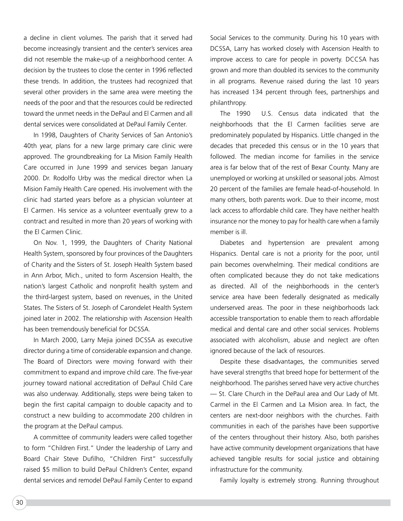a decline in client volumes. The parish that it served had become increasingly transient and the center's services area did not resemble the make-up of a neighborhood center. A decision by the trustees to close the center in 1996 reflected these trends. In addition, the trustees had recognized that several other providers in the same area were meeting the needs of the poor and that the resources could be redirected toward the unmet needs in the DePaul and El Carmen and all dental services were consolidated at DePaul Family Center.

In 1998, Daughters of Charity Services of San Antonio's 40th year, plans for a new large primary care clinic were approved. The groundbreaking for La Mision Family Health Care occurred in June 1999 and services began January 2000. Dr. Rodolfo Urby was the medical director when La Mision Family Health Care opened. His involvement with the clinic had started years before as a physician volunteer at El Carmen. His service as a volunteer eventually grew to a contract and resulted in more than 20 years of working with the El Carmen Clinic.

On Nov. 1, 1999, the Daughters of Charity National Health System, sponsored by four provinces of the Daughters of Charity and the Sisters of St. Joseph Health System based in Ann Arbor, Mich., united to form Ascension Health, the nation's largest Catholic and nonprofit health system and the third-largest system, based on revenues, in the United States. The Sisters of St. Joseph of Carondelet Health System joined later in 2002. The relationship with Ascension Health has been tremendously beneficial for DCSSA.

In March 2000, Larry Mejia joined DCSSA as executive director during a time of considerable expansion and change. The Board of Directors were moving forward with their commitment to expand and improve child care. The five-year journey toward national accreditation of DePaul Child Care was also underway. Additionally, steps were being taken to begin the first capital campaign to double capacity and to construct a new building to accommodate 200 children in the program at the DePaul campus.

A committee of community leaders were called together to form "Children First." Under the leadership of Larry and Board Chair Steve Dufilho, "Children First" successfully raised \$5 million to build DePaul Children's Center, expand dental services and remodel DePaul Family Center to expand

Social Services to the community. During his 10 years with DCSSA, Larry has worked closely with Ascension Health to improve access to care for people in poverty. DCCSA has grown and more than doubled its services to the community in all programs. Revenue raised during the last 10 years has increased 134 percent through fees, partnerships and philanthropy.

The 1990 U.S. Census data indicated that the neighborhoods that the El Carmen facilities serve are predominately populated by Hispanics. Little changed in the decades that preceded this census or in the 10 years that followed. The median income for families in the service area is far below that of the rest of Bexar County. Many are unemployed or working at unskilled or seasonal jobs. Almost 20 percent of the families are female head-of-household. In many others, both parents work. Due to their income, most lack access to affordable child care. They have neither health insurance nor the money to pay for health care when a family member is ill.

Diabetes and hypertension are prevalent among Hispanics. Dental care is not a priority for the poor, until pain becomes overwhelming. Their medical conditions are often complicated because they do not take medications as directed. All of the neighborhoods in the center's service area have been federally designated as medically underserved areas. The poor in these neighborhoods lack accessible transportation to enable them to reach affordable medical and dental care and other social services. Problems associated with alcoholism, abuse and neglect are often ignored because of the lack of resources.

Despite these disadvantages, the communities served have several strengths that breed hope for betterment of the neighborhood. The parishes served have very active churches — St. Clare Church in the DePaul area and Our Lady of Mt. Carmel in the El Carmen and La Mision area. In fact, the centers are next-door neighbors with the churches. Faith communities in each of the parishes have been supportive of the centers throughout their history. Also, both parishes have active community development organizations that have achieved tangible results for social justice and obtaining infrastructure for the community.

Family loyalty is extremely strong. Running throughout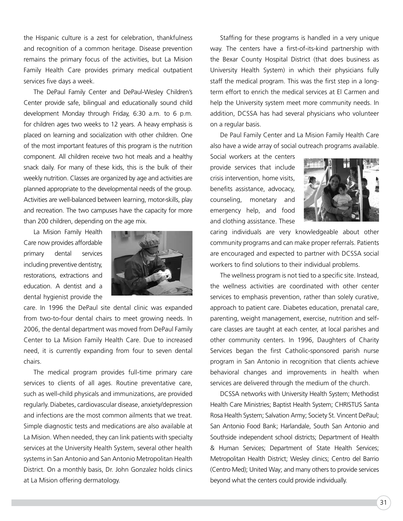the Hispanic culture is a zest for celebration, thankfulness and recognition of a common heritage. Disease prevention remains the primary focus of the activities, but La Mision Family Health Care provides primary medical outpatient services five days a week.

The DePaul Family Center and DePaul-Wesley Children's Center provide safe, bilingual and educationally sound child development Monday through Friday, 6:30 a.m. to 6 p.m. for children ages two weeks to 12 years. A heavy emphasis is placed on learning and socialization with other children. One of the most important features of this program is the nutrition component. All children receive two hot meals and a healthy snack daily. For many of these kids, this is the bulk of their weekly nutrition. Classes are organized by age and activities are planned appropriate to the developmental needs of the group. Activities are well-balanced between learning, motor-skills, play and recreation. The two campuses have the capacity for more than 200 children, depending on the age mix.

La Mision Family Health Care now provides affordable primary dental services including preventive dentistry, restorations, extractions and education. A dentist and a dental hygienist provide the



care. In 1996 the DePaul site dental clinic was expanded from two-to-four dental chairs to meet growing needs. In 2006, the dental department was moved from DePaul Family Center to La Mision Family Health Care. Due to increased need, it is currently expanding from four to seven dental chairs.

The medical program provides full-time primary care services to clients of all ages. Routine preventative care, such as well-child physicals and immunizations, are provided regularly. Diabetes, cardiovascular disease, anxiety/depression and infections are the most common ailments that we treat. Simple diagnostic tests and medications are also available at La Mision. When needed, they can link patients with specialty services at the University Health System, several other health systems in San Antonio and San Antonio Metropolitan Health District. On a monthly basis, Dr. John Gonzalez holds clinics at La Mision offering dermatology.

Staffing for these programs is handled in a very unique way. The centers have a first-of-its-kind partnership with the Bexar County Hospital District (that does business as University Health System) in which their physicians fully staff the medical program. This was the first step in a longterm effort to enrich the medical services at El Carmen and help the University system meet more community needs. In addition, DCSSA has had several physicians who volunteer on a regular basis.

De Paul Family Center and La Mision Family Health Care also have a wide array of social outreach programs available.

Social workers at the centers provide services that include crisis intervention, home visits, benefits assistance, advocacy, counseling, monetary and emergency help, and food and clothing assistance. These



caring individuals are very knowledgeable about other community programs and can make proper referrals. Patients are encouraged and expected to partner with DCSSA social workers to find solutions to their individual problems.

The wellness program is not tied to a specific site. Instead, the wellness activities are coordinated with other center services to emphasis prevention, rather than solely curative, approach to patient care. Diabetes education, prenatal care, parenting, weight management, exercise, nutrition and selfcare classes are taught at each center, at local parishes and other community centers. In 1996, Daughters of Charity Services began the first Catholic-sponsored parish nurse program in San Antonio in recognition that clients achieve behavioral changes and improvements in health when services are delivered through the medium of the church.

DCSSA networks with University Health System; Methodist Health Care Ministries; Baptist Health System; CHRISTUS Santa Rosa Health System; Salvation Army; Society St. Vincent DePaul; San Antonio Food Bank; Harlandale, South San Antonio and Southside independent school districts; Department of Health & Human Services; Department of State Health Services; Metropolitan Health District; Wesley clinics; Centro del Barrio (Centro Med); United Way; and many others to provide services beyond what the centers could provide individually.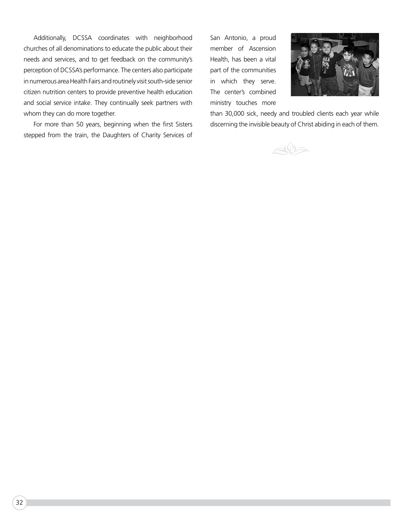Additionally, DCSSA coordinates with neighborhood churches of all denominations to educate the public about their needs and services, and to get feedback on the community's perception of DCSSA's performance. The centers also participate in numerous area Health Fairs and routinely visit south-side senior citizen nutrition centers to provide preventive health education and social service intake. They continually seek partners with whom they can do more together.

For more than 50 years, beginning when the first Sisters stepped from the train, the Daughters of Charity Services of San Antonio, a proud member of Ascension Health, has been a vital part of the communities in which they serve. The center's combined ministry touches more



than 30,000 sick, needy and troubled clients each year while discerning the invisible beauty of Christ abiding in each of them.

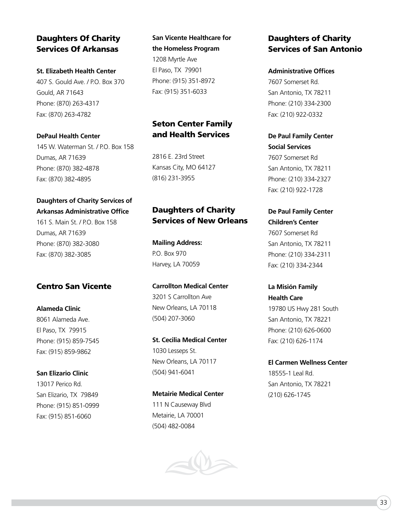#### Daughters Of Charity Services Of Arkansas

**St. Elizabeth Health Center** 407 S. Gould Ave. / P.O. Box 370 Gould, AR 71643 Phone: (870) 263-4317 Fax: (870) 263-4782

#### **DePaul Health Center**

145 W. Waterman St. / P.O. Box 158 Dumas, AR 71639 Phone: (870) 382-4878 Fax: (870) 382-4895

#### **Daughters of Charity Services of Arkansas Administrative Office**

161 S. Main St. / P.O. Box 158 Dumas, AR 71639 Phone: (870) 382-3080 Fax: (870) 382-3085

#### Centro San Vicente

**Alameda Clinic** 8061 Alameda Ave. El Paso, TX 79915 Phone: (915) 859-7545 Fax: (915) 859-9862

**San Elizario Clinic** 13017 Perico Rd. San Elizario, TX 79849 Phone: (915) 851-0999 Fax: (915) 851-6060

**San Vicente Healthcare for the Homeless Program** 1208 Myrtle Ave El Paso, TX 79901 Phone: (915) 351-8972 Fax: (915) 351-6033

#### Seton Center Family and Health Services

2816 E. 23rd Street Kansas City, MO 64127 (816) 231-3955

#### Daughters of Charity Services of New Orleans

**Mailing Address:** P.O. Box 970 Harvey, LA 70059

**Carrollton Medical Center** 3201 S Carrollton Ave New Orleans, LA 70118 (504) 207-3060

**St. Cecilia Medical Center** 1030 Lesseps St. New Orleans, LA 70117 (504) 941-6041

**Metairie Medical Center** 111 N Causeway Blvd Metairie, LA 70001 (504) 482-0084



#### Daughters of Charity Services of San Antonio

**Administrative Offices** 7607 Somerset Rd. San Antonio, TX 78211 Phone: (210) 334-2300 Fax: (210) 922-0332

**De Paul Family Center Social Services**  7607 Somerset Rd San Antonio, TX 78211 Phone: (210) 334-2327 Fax: (210) 922-1728

**De Paul Family Center Children's Center**  7607 Somerset Rd San Antonio, TX 78211 Phone: (210) 334-2311 Fax: (210) 334-2344

**La Misión Family Health Care** 19780 US Hwy 281 South San Antonio, TX 78221 Phone: (210) 626-0600 Fax: (210) 626-1174

**El Carmen Wellness Center** 18555-1 Leal Rd. San Antonio, TX 78221 (210) 626-1745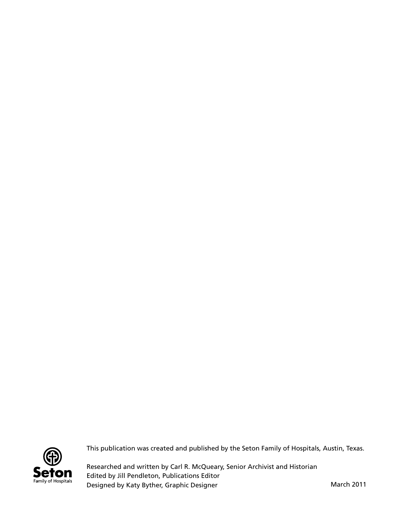

This publication was created and published by the Seton Family of Hospitals, Austin, Texas.

Researched and written by Carl R. McQueary, Senior Archivist and Historian Edited by Jill Pendleton, Publications Editor Designed by Katy Byther, Graphic Designer March 2011